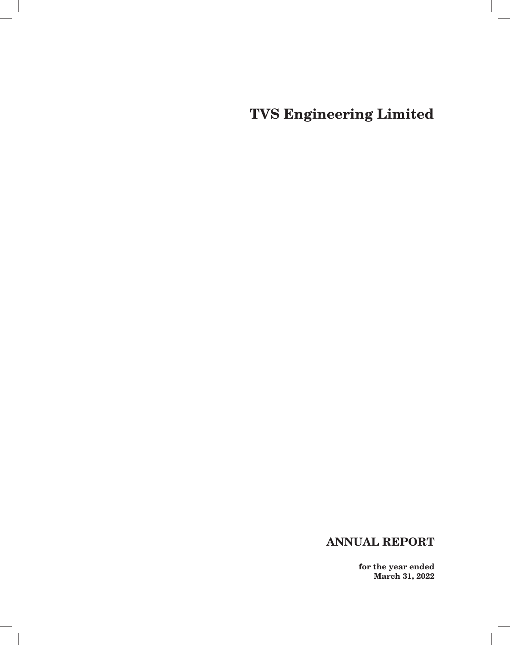# **ANNUAL REPORT**

 $\overline{\phantom{a}}$ 

**for the year ended March 31, 2022**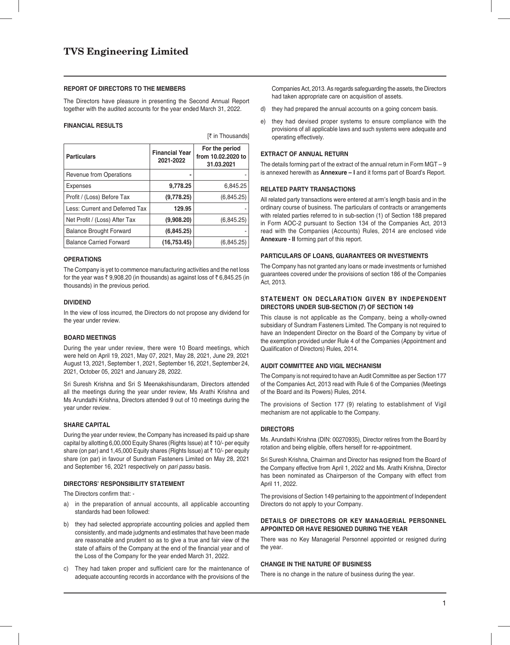### **REPORT OF DIRECTORS TO THE MEMBERS**

The Directors have pleasure in presenting the Second Annual Report together with the audited accounts for the year ended March 31, 2022.

 $[7$  in Thousands]

### **FINANCIAL RESULTS**

| <b>Particulars</b>             | <b>Financial Year</b><br>2021-2022 | For the period<br>from 10.02.2020 to<br>31.03.2021 |
|--------------------------------|------------------------------------|----------------------------------------------------|
| <b>Revenue from Operations</b> |                                    |                                                    |
| <b>Expenses</b>                | 9,778.25                           | 6,845.25                                           |
| Profit / (Loss) Before Tax     | (9,778.25)                         | (6,845.25)                                         |
| Less: Current and Deferred Tax | 129.95                             |                                                    |
| Net Profit / (Loss) After Tax  | (9,908.20)                         | (6,845.25)                                         |
| <b>Balance Brought Forward</b> | (6, 845.25)                        |                                                    |
| <b>Balance Carried Forward</b> | (16, 753.45)                       | (6,845.25)                                         |

**OPERATIONS**

The Company is yet to commence manufacturing activities and the net loss for the year was  $\bar{\tau}$  9,908.20 (in thousands) as against loss of  $\bar{\tau}$  6,845.25 (in thousands) in the previous period.

### **DIVIDEND**

In the view of loss incurred, the Directors do not propose any dividend for the year under review.

### **BOARD MEETINGS**

During the year under review, there were 10 Board meetings, which were held on April 19, 2021, May 07, 2021, May 28, 2021, June 29, 2021 August 13, 2021, September 1, 2021, September 16, 2021, September 24, 2021, October 05, 2021 and January 28, 2022.

Sri Suresh Krishna and Sri S Meenakshisundaram, Directors attended all the meetings during the year under review, Ms Arathi Krishna and Ms Arundathi Krishna, Directors attended 9 out of 10 meetings during the year under review.

#### **SHARE CAPITAL**

During the year under review, the Company has increased its paid up share capital by allotting 6,00,000 Equity Shares (Rights Issue) at  $\bar{z}$  10/- per equity share (on par) and 1,45,000 Equity shares (Rights Issue) at ₹10/- per equity share (on par) in favour of Sundram Fasteners Limited on May 28, 2021 and September 16, 2021 respectively on *pari passu* basis.

### **DIRECTORS' RESPONSIBILITY STATEMENT**

The Directors confirm that:

- a) in the preparation of annual accounts, all applicable accounting standards had been followed:
- b) they had selected appropriate accounting policies and applied them consistently, and made judgments and estimates that have been made are reasonable and prudent so as to give a true and fair view of the state of affairs of the Company at the end of the financial year and of the Loss of the Company for the year ended March 31, 2022.
- c) They had taken proper and sufficient care for the maintenance of adequate accounting records in accordance with the provisions of the

Companies Act, 2013. As regards safeguarding the assets, the Directors had taken appropriate care on acquisition of assets.

- d) they had prepared the annual accounts on a going concern basis.
- e) they had devised proper systems to ensure compliance with the provisions of all applicable laws and such systems were adequate and operating effectively.

## **EXTRACT OF ANNUAL RETURN**

The details forming part of the extract of the annual return in Form MGT – 9 is annexed herewith as **Annexure – I** and it forms part of Board's Report.

### **RELATED PARTY TRANSACTIONS**

All related party transactions were entered at arm's length basis and in the ordinary course of business. The particulars of contracts or arrangements with related parties referred to in sub-section (1) of Section 188 prepared in Form AOC-2 pursuant to Section 134 of the Companies Act, 2013 read with the Companies (Accounts) Rules, 2014 are enclosed vide **Annexure - II** forming part of this report.

### **PARTICULARS OF LOANS, GUARANTEES OR INVESTMENTS**

The Company has not granted any loans or made investments or furnished guarantees covered under the provisions of section 186 of the Companies Act, 2013.

## **STATEMENT ON DECLARATION GIVEN BY INDEPENDENT DIRECTORS UNDER SUB-SECTION (7) OF SECTION 149**

This clause is not applicable as the Company, being a wholly-owned subsidiary of Sundram Fasteners Limited. The Company is not required to have an Independent Director on the Board of the Company by virtue of the exemption provided under Rule 4 of the Companies (Appointment and Qualification of Directors) Rules, 2014.

### **AUDIT COMMITTEE AND VIGIL MECHANISM**

The Company is not required to have an Audit Committee as per Section 177 of the Companies Act, 2013 read with Rule 6 of the Companies (Meetings of the Board and its Powers) Rules, 2014.

The provisions of Section 177 (9) relating to establishment of Vigil mechanism are not applicable to the Company.

#### **DIRECTORS**

Ms. Arundathi Krishna (DIN: 00270935), Director retires from the Board by rotation and being eligible, offers herself for re-appointment.

Sri Suresh Krishna, Chairman and Director has resigned from the Board of the Company effective from April 1, 2022 and Ms. Arathi Krishna, Director has been nominated as Chairperson of the Company with effect from April 11, 2022.

The provisions of Section 149 pertaining to the appointment of Independent Directors do not apply to your Company.

### **DETAILS OF DIRECTORS OR KEY MANAGERIAL PERSONNEL APPOINTED OR HAVE RESIGNED DURING THE YEAR**

There was no Key Managerial Personnel appointed or resigned during the year.

### **CHANGE IN THE NATURE OF BUSINESS**

There is no change in the nature of business during the year.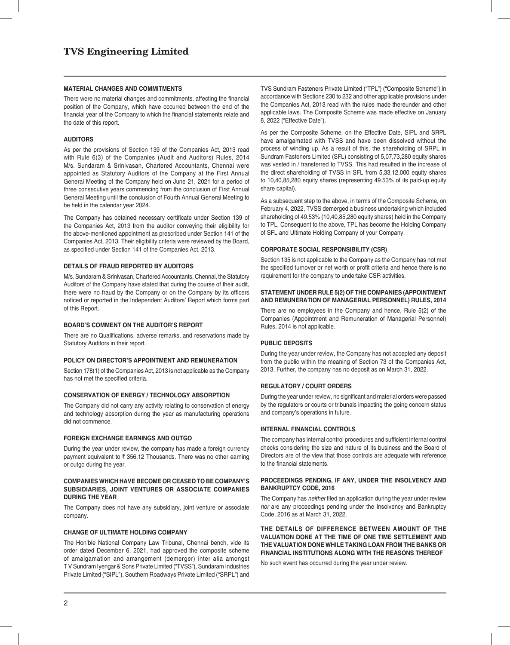### **MATERIAL CHANGES AND COMMITMENTS**

There were no material changes and commitments, affecting the financial position of the Company, which have occurred between the end of the financial year of the Company to which the financial statements relate and the date of this report.

### **AUDITORS**

As per the provisions of Section 139 of the Companies Act, 2013 read with Rule 6(3) of the Companies (Audit and Auditors) Rules, 2014 M/s. Sundaram & Srinivasan, Chartered Accountants, Chennai were appointed as Statutory Auditors of the Company at the First Annual General Meeting of the Company held on June 21, 2021 for a period of three consecutive years commencing from the conclusion of First Annual General Meeting until the conclusion of Fourth Annual General Meeting to be held in the calendar year 2024.

The Company has obtained necessary certificate under Section 139 of the Companies Act, 2013 from the auditor conveying their eligibility for the above-mentioned appointment as prescribed under Section 141 of the Companies Act, 2013. Their eligibility criteria were reviewed by the Board, as specified under Section 141 of the Companies Act, 2013.

### **DETAILS OF FRAUD REPORTED BY AUDITORS**

M/s. Sundaram & Srinivasan, Chartered Accountants, Chennai, the Statutory Auditors of the Company have stated that during the course of their audit, there were no fraud by the Company or on the Company by its officers noticed or reported in the Independent Auditors' Report which forms part of this Report.

### **BOARD'S COMMENT ON THE AUDITOR'S REPORT**

There are no Qualifications, adverse remarks, and reservations made by Statutory Auditors in their report.

### **POLICY ON DIRECTOR'S APPOINTMENT AND REMUNERATION**

Section 178(1) of the Companies Act, 2013 is not applicable as the Company has not met the specified criteria.

#### **CONSERVATION OF ENERGY / TECHNOLOGY ABSORPTION**

The Company did not carry any activity relating to conservation of energy and technology absorption during the year as manufacturing operations did not commence.

### **FOREIGN EXCHANGE EARNINGS AND OUTGO**

During the year under review, the company has made a foreign currency payment equivalent to  $\bar{\tau}$  356.12 Thousands. There was no other earning or outgo during the year.

### **COMPANIES WHICH HAVE BECOME OR CEASED TO BE COMPANY'S SUBSIDIARIES, JOINT VENTURES OR ASSOCIATE COMPANIES DURING THE YEAR**

The Company does not have any subsidiary, joint venture or associate company.

### **CHANGE OF ULTIMATE HOLDING COMPANY**

The Hon'ble National Company Law Tribunal, Chennai bench, vide its order dated December 6, 2021, had approved the composite scheme of amalgamation and arrangement (demerger) inter alia amongst T V Sundram Iyengar & Sons Private Limited ("TVSS"), Sundaram Industries Private Limited ("SIPL"), Southern Roadways Private Limited ("SRPL") and

TVS Sundram Fasteners Private Limited ("TPL") ("Composite Scheme") in accordance with Sections 230 to 232 and other applicable provisions under the Companies Act, 2013 read with the rules made thereunder and other applicable laws. The Composite Scheme was made effective on January 6, 2022 ("Effective Date").

As per the Composite Scheme, on the Effective Date, SIPL and SRPL have amalgamated with TVSS and have been dissolved without the process of winding up. As a result of this, the shareholding of SRPL in Sundram Fasteners Limited (SFL) consisting of 5,07,73,280 equity shares was vested in / transferred to TVSS. This had resulted in the increase of the direct shareholding of TVSS in SFL from 5,33,12,000 equity shares to 10,40,85,280 equity shares (representing 49.53% of its paid-up equity share capital).

As a subsequent step to the above, in terms of the Composite Scheme, on February 4, 2022, TVSS demerged a business undertaking which included shareholding of 49.53% (10,40,85,280 equity shares) held in the Company to TPL. Consequent to the above, TPL has become the Holding Company of SFL and Ultimate Holding Company of your Company.

### **CORPORATE SOCIAL RESPONSIBILITY (CSR)**

Section 135 is not applicable to the Company as the Company has not met the specified turnover or net worth or profit criteria and hence there is no requirement for the company to undertake CSR activities.

### **STATEMENT UNDER RULE 5(2) OF THE COMPANIES (APPOINTMENT AND REMUNERATION OF MANAGERIAL PERSONNEL) RULES, 2014**

There are no employees in the Company and hence, Rule 5(2) of the Companies (Appointment and Remuneration of Managerial Personnel) Rules, 2014 is not applicable.

### **PUBLIC DEPOSITS**

During the year under review, the Company has not accepted any deposit from the public within the meaning of Section 73 of the Companies Act, 2013. Further, the company has no deposit as on March 31, 2022.

### **REGULATORY / COURT ORDERS**

During the year under review, no significant and material orders were passed by the regulators or courts or tribunals impacting the going concern status and company's operations in future.

#### **INTERNAL FINANCIAL CONTROLS**

The company has internal control procedures and sufficient internal control checks considering the size and nature of its business and the Board of Directors are of the view that those controls are adequate with reference to the financial statements.

### **PROCEEDINGS PENDING, IF ANY, UNDER THE INSOLVENCY AND BANKRUPTCY CODE, 2016**

The Company has *neither* filed an application during the year under review *nor* are any proceedings pending under the Insolvency and Bankruptcy Code, 2016 as at March 31, 2022.

**THE DETAILS OF DIFFERENCE BETWEEN AMOUNT OF THE VALUATION DONE AT THE TIME OF ONE TIME SETTLEMENT AND THE VALUATION DONE WHILE TAKING LOAN FROM THE BANKS OR FINANCIAL INSTITUTIONS ALONG WITH THE REASONS THEREOF**

No such event has occurred during the year under review.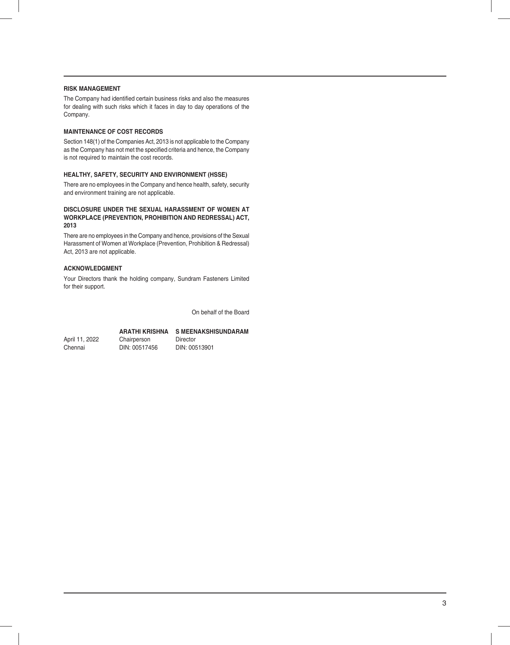## **RISK MANAGEMENT**

The Company had identified certain business risks and also the measures for dealing with such risks which it faces in day to day operations of the Company.

## **MAINTENANCE OF COST RECORDS**

Section 148(1) of the Companies Act, 2013 is not applicable to the Company as the Company has not met the specified criteria and hence, the Company is not required to maintain the cost records.

### **HEALTHY, SAFETY, SECURITY AND ENVIRONMENT (HSSE)**

There are no employees in the Company and hence health, safety, security and environment training are not applicable.

## **DISCLOSURE UNDER THE SEXUAL HARASSMENT OF WOMEN AT WORKPLACE (PREVENTION, PROHIBITION AND REDRESSAL) ACT, 2013**

There are no employees in the Company and hence, provisions of the Sexual Harassment of Women at Workplace (Prevention, Prohibition & Redressal) Act, 2013 are not applicable.

## **ACKNOWLEDGMENT**

Your Directors thank the holding company, Sundram Fasteners Limited for their support.

On behalf of the Board

## **ARATHI KRISHNA S MEENAKSHISUNDARAM**

April 11, 2022 Chairperson Director Chennai DIN: 00517456 DIN: 00513901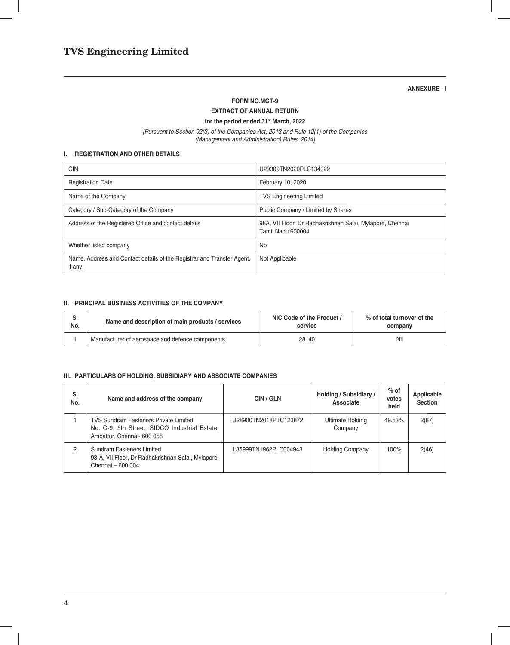## **ANNEXURE - I**

### **FORM NO.MGT-9**

## **EXTRACT OF ANNUAL RETURN**

**for the period ended 31st March, 2022**

*[Pursuant to Section 92(3) of the Companies Act, 2013 and Rule 12(1) of the Companies (Management and Administration) Rules, 2014]*

## **I. REGISTRATION AND OTHER DETAILS**

| <b>CIN</b>                                                                        | U29309TN2020PLC134322                                                          |
|-----------------------------------------------------------------------------------|--------------------------------------------------------------------------------|
| <b>Registration Date</b>                                                          | February 10, 2020                                                              |
| Name of the Company                                                               | <b>TVS Engineering Limited</b>                                                 |
| Category / Sub-Category of the Company                                            | Public Company / Limited by Shares                                             |
| Address of the Registered Office and contact details                              | 98A, VII Floor, Dr Radhakrishnan Salai, Mylapore, Chennai<br>Tamil Nadu 600004 |
| Whether listed company                                                            | No                                                                             |
| Name, Address and Contact details of the Registrar and Transfer Agent,<br>if any. | Not Applicable                                                                 |

## **II. PRINCIPAL BUSINESS ACTIVITIES OF THE COMPANY**

| ခ.  | Name and description of main products / services | NIC Code of the Product / | % of total turnover of the |
|-----|--------------------------------------------------|---------------------------|----------------------------|
| No. |                                                  | service                   | company                    |
|     | Manufacturer of aerospace and defence components | 28140                     | Nil                        |

## **III. PARTICULARS OF HOLDING, SUBSIDIARY AND ASSOCIATE COMPANIES**

| S.<br>No. | Name and address of the company                                                                                             | CIN/GLN               | Holding / Subsidiary /<br>Associate | $%$ of<br>votes<br>held | Applicable<br><b>Section</b> |
|-----------|-----------------------------------------------------------------------------------------------------------------------------|-----------------------|-------------------------------------|-------------------------|------------------------------|
|           | <b>TVS Sundram Fasteners Private Limited</b><br>No. C-9, 5th Street, SIDCO Industrial Estate,<br>Ambattur, Chennai- 600 058 | U28900TN2018PTC123872 | Ultimate Holding<br>Company         | 49.53%                  | 2(87)                        |
| 2         | Sundram Fasteners Limited<br>98-A, VII Floor, Dr Radhakrishnan Salai, Mylapore,<br>Chennai - 600 004                        | L35999TN1962PLC004943 | <b>Holding Company</b>              | 100%                    | 2(46)                        |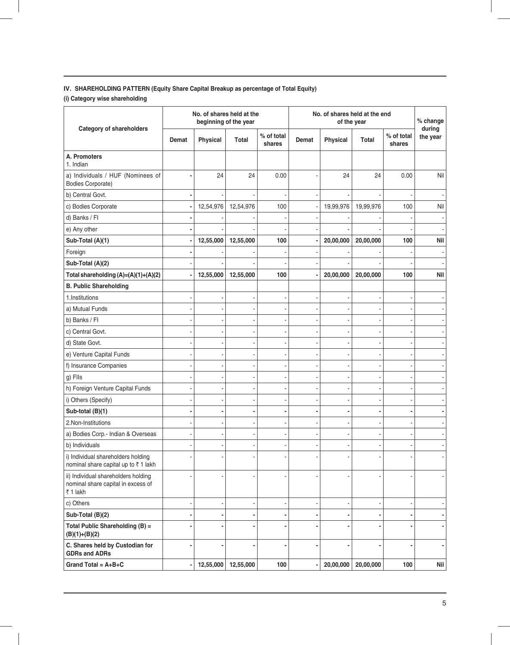## **IV. SHAREHOLDING PATTERN (Equity Share Capital Breakup as percentage of Total Equity)**

**(i) Category wise shareholding**

| <b>Category of shareholders</b>                                                       | No. of shares held at the<br>beginning of the year |           |           | No. of shares held at the end<br>of the year |       |           |           | % change<br>during   |          |
|---------------------------------------------------------------------------------------|----------------------------------------------------|-----------|-----------|----------------------------------------------|-------|-----------|-----------|----------------------|----------|
|                                                                                       | Demat                                              | Physical  | Total     | % of total<br>shares                         | Demat | Physical  | Total     | % of total<br>shares | the year |
| A. Promoters<br>1. Indian                                                             |                                                    |           |           |                                              |       |           |           |                      |          |
| a) Individuals / HUF (Nominees of<br><b>Bodies Corporate)</b>                         |                                                    | 24        | 24        | 0.00                                         |       | 24        | 24        | 0.00                 | Nil      |
| b) Central Govt.                                                                      |                                                    |           |           |                                              |       |           |           |                      |          |
| c) Bodies Corporate                                                                   |                                                    | 12,54,976 | 12,54,976 | 100                                          |       | 19,99,976 | 19,99,976 | 100                  | Nil      |
| d) Banks / Fl                                                                         |                                                    |           |           |                                              |       |           |           |                      |          |
| e) Any other                                                                          |                                                    |           |           |                                              |       |           |           |                      |          |
| Sub-Total (A)(1)                                                                      |                                                    | 12,55,000 | 12,55,000 | 100                                          |       | 20,00,000 | 20,00,000 | 100                  | Nil      |
| Foreign                                                                               |                                                    |           |           |                                              |       |           |           |                      |          |
| Sub-Total (A)(2)                                                                      |                                                    |           |           |                                              |       |           |           |                      |          |
| Total shareholding (A)=(A)(1)+(A)(2)                                                  |                                                    | 12,55,000 | 12,55,000 | 100                                          |       | 20,00,000 | 20,00,000 | 100                  | Nil      |
| <b>B. Public Shareholding</b>                                                         |                                                    |           |           |                                              |       |           |           |                      |          |
| 1. Institutions                                                                       |                                                    |           |           |                                              |       |           |           |                      |          |
| a) Mutual Funds                                                                       |                                                    |           |           |                                              |       |           |           |                      |          |
| b) Banks / Fl                                                                         |                                                    |           |           |                                              |       |           |           |                      |          |
| c) Central Govt.                                                                      |                                                    |           |           |                                              |       |           |           |                      |          |
| d) State Govt.                                                                        |                                                    |           |           |                                              |       |           |           |                      |          |
| e) Venture Capital Funds                                                              |                                                    |           |           |                                              |       |           |           |                      |          |
| f) Insurance Companies                                                                |                                                    |           |           |                                              |       |           |           |                      |          |
| g) Flls                                                                               |                                                    |           |           |                                              |       |           |           |                      |          |
| h) Foreign Venture Capital Funds                                                      |                                                    |           |           |                                              |       |           |           |                      |          |
| i) Others (Specify)                                                                   |                                                    |           |           |                                              |       |           |           |                      |          |
| Sub-total (B)(1)                                                                      |                                                    |           |           |                                              |       |           |           |                      |          |
| 2.Non-Institutions                                                                    |                                                    |           |           |                                              |       |           |           |                      |          |
| a) Bodies Corp.- Indian & Overseas                                                    |                                                    |           |           |                                              |       |           |           |                      |          |
| b) Individuals                                                                        |                                                    |           |           |                                              |       |           |           |                      |          |
| i) Individual shareholders holding<br>nominal share capital up to ₹1 lakh             |                                                    |           |           |                                              |       |           |           |                      |          |
| ii) Individual shareholders holding<br>nominal share capital in excess of<br>₹ 1 lakh |                                                    |           |           |                                              |       |           |           |                      |          |
| c) Others                                                                             |                                                    |           |           |                                              |       |           |           |                      |          |
| Sub-Total (B)(2)                                                                      |                                                    |           |           |                                              |       |           |           |                      |          |
| Total Public Shareholding (B) =<br>$(B)(1)+(B)(2)$                                    |                                                    |           |           |                                              |       |           |           |                      |          |
| C. Shares held by Custodian for<br><b>GDRs and ADRs</b>                               |                                                    |           |           |                                              |       |           |           |                      |          |
| Grand Total = $A + B + C$                                                             |                                                    | 12,55,000 | 12,55,000 | 100                                          |       | 20,00,000 | 20,00,000 | 100                  | Nil      |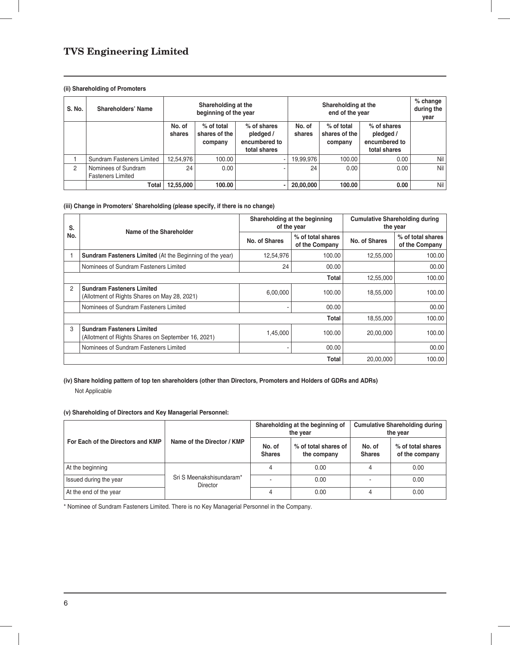## **(ii) Shareholding of Promoters**

| S. No.         | Shareholders' Name                              | Shareholding at the<br>beginning of the year |                                          |                                                           |                  | $%$ change<br>during the<br>year       |                                                           |     |
|----------------|-------------------------------------------------|----------------------------------------------|------------------------------------------|-----------------------------------------------------------|------------------|----------------------------------------|-----------------------------------------------------------|-----|
|                |                                                 | No. of<br>shares                             | $%$ of total<br>shares of the<br>company | % of shares<br>pledged /<br>encumbered to<br>total shares | No. of<br>shares | % of total<br>shares of the<br>company | % of shares<br>pledged /<br>encumbered to<br>total shares |     |
|                | Sundram Fasteners Limited                       | 12,54,976                                    | 100.00                                   |                                                           | 19,99,976        | 100.00                                 | 0.00                                                      | Nil |
| $\overline{2}$ | Nominees of Sundram<br><b>Fasteners Limited</b> | 24                                           | 0.00                                     |                                                           | 24               | 0.00                                   | 0.00                                                      | Nil |
|                | Total                                           | 12,55,000                                    | 100.00                                   |                                                           | 20,00,000        | 100.00                                 | 0.00                                                      | Nil |

## **(iii) Change in Promoters' Shareholding (please specify, if there is no change)**

| S.             | Name of the Shareholder                                                                |               | Shareholding at the beginning<br>of the year | <b>Cumulative Shareholding during</b><br>the year |                                     |
|----------------|----------------------------------------------------------------------------------------|---------------|----------------------------------------------|---------------------------------------------------|-------------------------------------|
| No.            |                                                                                        | No. of Shares | % of total shares<br>of the Company          | No. of Shares                                     | % of total shares<br>of the Company |
|                | <b>Sundram Fasteners Limited (At the Beginning of the year)</b>                        | 12,54,976     | 100.00                                       | 12,55,000                                         | 100.00                              |
|                | Nominees of Sundram Fasteners Limited                                                  | 24            | 00.00                                        |                                                   | 00.00                               |
|                |                                                                                        |               | Total                                        | 12,55,000                                         | 100.00                              |
| $\overline{2}$ | <b>Sundram Fasteners Limited</b><br>(Allotment of Rights Shares on May 28, 2021)       | 6,00,000      | 100.00                                       | 18,55,000                                         | 100.00                              |
|                | Nominees of Sundram Fasteners Limited                                                  |               | 00.00                                        |                                                   | 00.00                               |
|                |                                                                                        |               | Total                                        | 18,55,000                                         | 100.00                              |
| 3              | <b>Sundram Fasteners Limited</b><br>(Allotment of Rights Shares on September 16, 2021) | 1,45,000      | 100.00                                       | 20,00,000                                         | 100.00                              |
|                | Nominees of Sundram Fasteners Limited                                                  |               | 00.00                                        |                                                   | 00.00                               |
|                |                                                                                        | 20,00,000     | 100.00                                       |                                                   |                                     |

## **(iv) Share holding pattern of top ten shareholders (other than Directors, Promoters and Holders of GDRs and ADRs)** Not Applicable

## **(v) Shareholding of Directors and Key Managerial Personnel:**

|                                   |                                                       |   | Shareholding at the beginning of<br>the year |                         | <b>Cumulative Shareholding during</b><br>the year |
|-----------------------------------|-------------------------------------------------------|---|----------------------------------------------|-------------------------|---------------------------------------------------|
| For Each of the Directors and KMP | Name of the Director / KMP<br>No. of<br><b>Shares</b> |   | % of total shares of<br>the company          | No. of<br><b>Shares</b> | % of total shares<br>of the company               |
| At the beginning                  |                                                       | 4 | 0.00                                         |                         | 0.00                                              |
| Issued during the year            | Sri S Meenakshisundaram*<br><b>Director</b>           |   | 0.00                                         |                         | 0.00                                              |
| At the end of the year            |                                                       | 4 | 0.00                                         | 4                       | 0.00                                              |

\* Nominee of Sundram Fasteners Limited. There is no Key Managerial Personnel in the Company.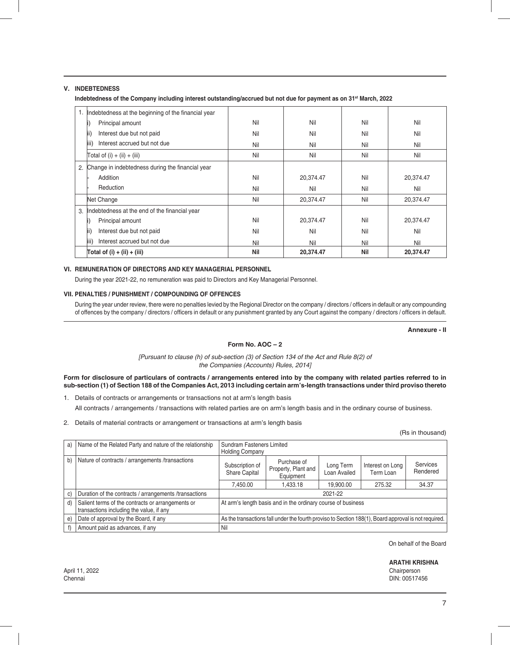## **V. INDEBTEDNESS**

Indebtedness of the Company including interest outstanding/accrued but not due for payment as on 31<sup>st</sup> March, 2022

|    | Indebtedness at the beginning of the financial year |     |           |     |           |
|----|-----------------------------------------------------|-----|-----------|-----|-----------|
|    | Principal amount                                    | Nil | Nil       | Nil | Nil       |
|    | Interest due but not paid<br>lii)                   | Nil | Nil       | Nil | Nil       |
|    | Interest accrued but not due<br>liii)               | Nil | Nil       | Nil | Nil       |
|    | Total of (i) + (ii) + (iii)                         | Nil | Nil       | Nil | Nil       |
| 2. | Change in indebtedness during the financial year    |     |           |     |           |
|    | Addition                                            | Nil | 20,374.47 | Nil | 20,374.47 |
|    | Reduction                                           | Nil | Nil       | Nil | Nil       |
|    | Net Change                                          | Nil | 20,374.47 | Nil | 20,374.47 |
| 3. | Indebtedness at the end of the financial year       |     |           |     |           |
|    | Principal amount                                    | Nil | 20,374.47 | Nil | 20,374.47 |
|    | Interest due but not paid<br>lii)                   | Nil | Nil       | Nil | Nil       |
|    | Interest accrued but not due<br>liii)               | Nil | Nil       | Nil | Nil       |
|    | Total of $(i) + (ii) + (iii)$                       | Nil | 20,374.47 | Nil | 20.374.47 |

## **VI. REMUNERATION OF DIRECTORS AND KEY MANAGERIAL PERSONNEL**

During the year 2021-22, no remuneration was paid to Directors and Key Managerial Personnel.

### **VII. PENALTIES / PUNISHMENT / COMPOUNDING OF OFFENCES**

During the year under review, there were no penalties levied by the Regional Director on the company / directors / officers in default or any compounding of offences by the company / directors / officers in default or any punishment granted by any Court against the company / directors / officers in default.

**Annexure - II**

## **Form No. AOC – 2**

*[Pursuant to clause (h) of sub-section (3) of Section 134 of the Act and Rule 8(2) of the Companies (Accounts) Rules, 2014]*

**Form for disclosure of particulars of contracts / arrangements entered into by the company with related parties referred to in sub-section (1) of Section 188 of the Companies Act, 2013 including certain arm's-length transactions under third proviso thereto**

- 1. Details of contracts or arrangements or transactions not at arm's length basis All contracts / arrangements / transactions with related parties are on arm's length basis and in the ordinary course of business.
- 2. Details of material contracts or arrangement or transactions at arm's length basis

|    |                                                                                               |                                                                                                      |                                                 |                           |                               | (Rs in thousand)     |
|----|-----------------------------------------------------------------------------------------------|------------------------------------------------------------------------------------------------------|-------------------------------------------------|---------------------------|-------------------------------|----------------------|
| a) | Name of the Related Party and nature of the relationship                                      | Sundram Fasteners Limited                                                                            |                                                 |                           |                               |                      |
|    |                                                                                               | <b>Holding Company</b>                                                                               |                                                 |                           |                               |                      |
| b) | Nature of contracts / arrangements /transactions                                              | Subscription of<br><b>Share Capital</b>                                                              | Purchase of<br>Property, Plant and<br>Equipment | Long Term<br>Loan Availed | Interest on Long<br>Term Loan | Services<br>Rendered |
|    |                                                                                               | 7.450.00                                                                                             | 1.433.18                                        | 19,900.00                 | 275.32                        | 34.37                |
| C) | Duration of the contracts / arrangements /transactions                                        |                                                                                                      |                                                 | 2021-22                   |                               |                      |
| d) | Salient terms of the contracts or arrangements or<br>transactions including the value, if any | At arm's length basis and in the ordinary course of business                                         |                                                 |                           |                               |                      |
| e) | Date of approval by the Board, if any                                                         | As the transactions fall under the fourth proviso to Section 188(1), Board approval is not required. |                                                 |                           |                               |                      |
|    | Amount paid as advances, if any                                                               | Nil                                                                                                  |                                                 |                           |                               |                      |

On behalf of the Board

**ARATHI KRISHNA**

Chennai DIN: 00517456

April 11, 2022 Chairperson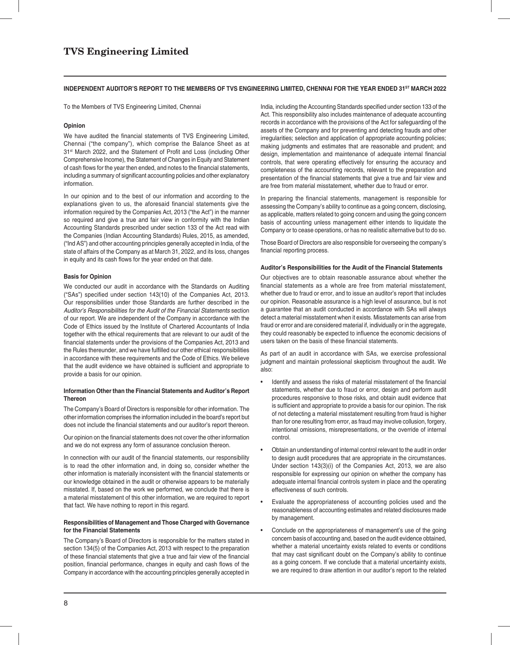### INDEPENDENT AUDITOR'S REPORT TO THE MEMBERS OF TVS ENGINEERING LIMITED, CHENNAI FOR THE YEAR ENDED 31<sup>ST</sup> MARCH 2022

To the Members of TVS Engineering Limited, Chennai

### **Opinion**

We have audited the financial statements of TVS Engineering Limited, Chennai ("the company"), which comprise the Balance Sheet as at 31<sup>st</sup> March 2022, and the Statement of Profit and Loss (including Other Comprehensive Income), the Statement of Changes in Equity and Statement of cash flows for the year then ended, and notes to the financial statements, including a summary of significant accounting policies and other explanatory information.

In our opinion and to the best of our information and according to the explanations given to us, the aforesaid financial statements give the information required by the Companies Act, 2013 ("the Act") in the manner so required and give a true and fair view in conformity with the Indian Accounting Standards prescribed under section 133 of the Act read with the Companies (Indian Accounting Standards) Rules, 2015, as amended, ("Ind AS") and other accounting principles generally accepted in India, of the state of affairs of the Company as at March 31, 2022, and its loss, changes in equity and its cash flows for the year ended on that date.

### **Basis for Opinion**

We conducted our audit in accordance with the Standards on Auditing ("SAs") specified under section 143(10) of the Companies Act, 2013. Our responsibilities under those Standards are further described in the *Auditor's Responsibilities for the Audit of the Financial Statements* section of our report. We are independent of the Company in accordance with the Code of Ethics issued by the Institute of Chartered Accountants of India together with the ethical requirements that are relevant to our audit of the financial statements under the provisions of the Companies Act, 2013 and the Rules thereunder, and we have fulfilled our other ethical responsibilities in accordance with these requirements and the Code of Ethics. We believe that the audit evidence we have obtained is sufficient and appropriate to provide a basis for our opinion.

### **Information Other than the Financial Statements and Auditor's Report Thereon**

The Company's Board of Directors is responsible for other information. The other information comprises the information included in the board's report but does not include the financial statements and our auditor's report thereon.

Our opinion on the financial statements does not cover the other information and we do not express any form of assurance conclusion thereon.

In connection with our audit of the financial statements, our responsibility is to read the other information and, in doing so, consider whether the other information is materially inconsistent with the financial statements or our knowledge obtained in the audit or otherwise appears to be materially misstated. If, based on the work we performed, we conclude that there is a material misstatement of this other information, we are required to report that fact. We have nothing to report in this regard.

### **Responsibilities of Management and Those Charged with Governance for the Financial Statements**

The Company's Board of Directors is responsible for the matters stated in section 134(5) of the Companies Act, 2013 with respect to the preparation of these financial statements that give a true and fair view of the financial position, financial performance, changes in equity and cash flows of the Company in accordance with the accounting principles generally accepted in India, including the Accounting Standards specified under section 133 of the Act. This responsibility also includes maintenance of adequate accounting records in accordance with the provisions of the Act for safeguarding of the assets of the Company and for preventing and detecting frauds and other irregularities; selection and application of appropriate accounting policies; making judgments and estimates that are reasonable and prudent; and design, implementation and maintenance of adequate internal financial controls, that were operating effectively for ensuring the accuracy and completeness of the accounting records, relevant to the preparation and presentation of the financial statements that give a true and fair view and are free from material misstatement, whether due to fraud or error.

In preparing the financial statements, management is responsible for assessing the Company's ability to continue as a going concern, disclosing, as applicable, matters related to going concern and using the going concern basis of accounting unless management either intends to liquidate the Company or to cease operations, or has no realistic alternative but to do so.

Those Board of Directors are also responsible for overseeing the company's financial reporting process.

### **Auditor's Responsibilities for the Audit of the Financial Statements**

Our objectives are to obtain reasonable assurance about whether the financial statements as a whole are free from material misstatement, whether due to fraud or error, and to issue an auditor's report that includes our opinion. Reasonable assurance is a high level of assurance, but is not a guarantee that an audit conducted in accordance with SAs will always detect a material misstatement when it exists. Misstatements can arise from fraud or error and are considered material if, individually or in the aggregate, they could reasonably be expected to influence the economic decisions of users taken on the basis of these financial statements.

As part of an audit in accordance with SAs, we exercise professional judgment and maintain professional skepticism throughout the audit. We also:

- Identify and assess the risks of material misstatement of the financial statements, whether due to fraud or error, design and perform audit procedures responsive to those risks, and obtain audit evidence that is sufficient and appropriate to provide a basis for our opinion. The risk of not detecting a material misstatement resulting from fraud is higher than for one resulting from error, as fraud may involve collusion, forgery, intentional omissions, misrepresentations, or the override of internal control.
- Obtain an understanding of internal control relevant to the audit in order to design audit procedures that are appropriate in the circumstances. Under section 143(3)(i) of the Companies Act, 2013, we are also responsible for expressing our opinion on whether the company has adequate internal financial controls system in place and the operating effectiveness of such controls.
- Evaluate the appropriateness of accounting policies used and the reasonableness of accounting estimates and related disclosures made by management.
- Conclude on the appropriateness of management's use of the going concern basis of accounting and, based on the audit evidence obtained, whether a material uncertainty exists related to events or conditions that may cast significant doubt on the Company's ability to continue as a going concern. If we conclude that a material uncertainty exists, we are required to draw attention in our auditor's report to the related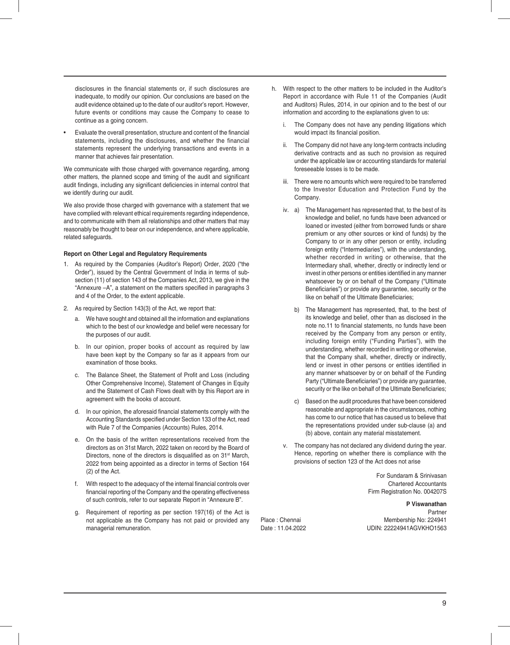disclosures in the financial statements or, if such disclosures are inadequate, to modify our opinion. Our conclusions are based on the audit evidence obtained up to the date of our auditor's report. However, future events or conditions may cause the Company to cease to continue as a going concern.

Evaluate the overall presentation, structure and content of the financial statements, including the disclosures, and whether the financial statements represent the underlying transactions and events in a manner that achieves fair presentation.

We communicate with those charged with governance regarding, among other matters, the planned scope and timing of the audit and significant audit findings, including any significant deficiencies in internal control that we identify during our audit.

We also provide those charged with governance with a statement that we have complied with relevant ethical requirements regarding independence, and to communicate with them all relationships and other matters that may reasonably be thought to bear on our independence, and where applicable, related safeguards.

### **Report on Other Legal and Regulatory Requirements**

- 1. As required by the Companies (Auditor's Report) Order, 2020 ("the Order"), issued by the Central Government of India in terms of subsection (11) of section 143 of the Companies Act, 2013, we give in the "Annexure -A", a statement on the matters specified in paragraphs 3 and 4 of the Order, to the extent applicable.
- 2. As required by Section 143(3) of the Act, we report that:
	- a. We have sought and obtained all the information and explanations which to the best of our knowledge and belief were necessary for the purposes of our audit.
	- b. In our opinion, proper books of account as required by law have been kept by the Company so far as it appears from our examination of those books.
	- c. The Balance Sheet, the Statement of Profit and Loss (including Other Comprehensive Income), Statement of Changes in Equity and the Statement of Cash Flows dealt with by this Report are in agreement with the books of account.
	- d. In our opinion, the aforesaid financial statements comply with the Accounting Standards specified under Section 133 of the Act, read with Rule 7 of the Companies (Accounts) Rules, 2014.
	- e. On the basis of the written representations received from the directors as on 31st March, 2022 taken on record by the Board of Directors, none of the directors is disqualified as on 31<sup>st</sup> March, 2022 from being appointed as a director in terms of Section 164 (2) of the Act.
	- f. With respect to the adequacy of the internal financial controls over financial reporting of the Company and the operating effectiveness of such controls, refer to our separate Report in "Annexure B".
	- g. Requirement of reporting as per section 197(16) of the Act is not applicable as the Company has not paid or provided any managerial remuneration.
- h. With respect to the other matters to be included in the Auditor's Report in accordance with Rule 11 of the Companies (Audit and Auditors) Rules, 2014, in our opinion and to the best of our information and according to the explanations given to us:
	- i. The Company does not have any pending litigations which would impact its financial position.
	- ii. The Company did not have any long-term contracts including derivative contracts and as such no provision as required under the applicable law or accounting standards for material foreseeable losses is to be made.
	- iii. There were no amounts which were required to be transferred to the Investor Education and Protection Fund by the Company.
	- iv. a) The Management has represented that, to the best of its knowledge and belief, no funds have been advanced or loaned or invested (either from borrowed funds or share premium or any other sources or kind of funds) by the Company to or in any other person or entity, including foreign entity ("Intermediaries"), with the understanding, whether recorded in writing or otherwise, that the Intermediary shall, whether, directly or indirectly lend or invest in other persons or entities identified in any manner whatsoever by or on behalf of the Company ("Ultimate Beneficiaries") or provide any guarantee, security or the like on behalf of the Ultimate Beneficiaries;
		- b) The Management has represented, that, to the best of its knowledge and belief, other than as disclosed in the note no.11 to financial statements, no funds have been received by the Company from any person or entity, including foreign entity ("Funding Parties"), with the understanding, whether recorded in writing or otherwise, that the Company shall, whether, directly or indirectly, lend or invest in other persons or entities identified in any manner whatsoever by or on behalf of the Funding Party ("Ultimate Beneficiaries") or provide any quarantee. security or the like on behalf of the Ultimate Beneficiaries;
		- Based on the audit procedures that have been considered reasonable and appropriate in the circumstances, nothing has come to our notice that has caused us to believe that the representations provided under sub-clause (a) and (b) above, contain any material misstatement.
	- v. The company has not declared any dividend during the year. Hence, reporting on whether there is compliance with the provisions of section 123 of the Act does not arise

For Sundaram & Srinivasan Chartered Accountants Firm Registration No. 004207S

**P Viswanathan Partner Partner** Place : Chennai Membership No: 224941 Date : 11.04.2022 UDIN: 22224941AGVKHO1563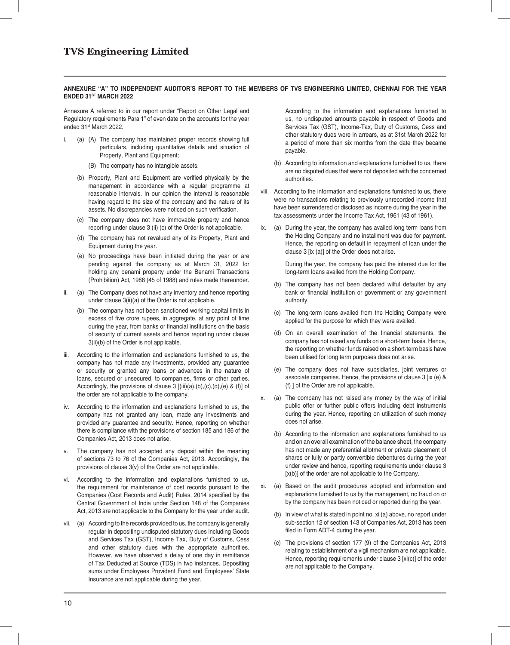### **ANNEXURE "A" TO INDEPENDENT AUDITOR'S REPORT TO THE MEMBERS OF TVS ENGINEERING LIMITED, CHENNAI FOR THE YEAR ENDED 31ST MARCH 2022**

Annexure A referred to in our report under "Report on Other Legal and Regulatory requirements Para 1" of even date on the accounts for the year ended 31<sup>st</sup> March 2022.

- i. (a) (A) The company has maintained proper records showing full particulars, including quantitative details and situation of Property, Plant and Equipment;
	- (B) The company has no intangible assets.
	- (b) Property, Plant and Equipment are verified physically by the management in accordance with a regular programme at reasonable intervals. In our opinion the interval is reasonable having regard to the size of the company and the nature of its assets. No discrepancies were noticed on such verification.
	- (c) The company does not have immovable property and hence reporting under clause 3 (ii) (c) of the Order is not applicable.
	- (d) The company has not revalued any of its Property, Plant and Equipment during the year.
	- (e) No proceedings have been initiated during the year or are pending against the company as at March 31, 2022 for holding any benami property under the Benami Transactions (Prohibition) Act, 1988 (45 of 1988) and rules made thereunder.
- (a) The Company does not have any inventory and hence reporting under clause 3(ii)(a) of the Order is not applicable.
	- (b) The company has not been sanctioned working capital limits in excess of five crore rupees, in aggregate, at any point of time during the year, from banks or financial institutions on the basis of security of current assets and hence reporting under clause 3(ii)(b) of the Order is not applicable.
- iii. According to the information and explanations furnished to us, the company has not made any investments, provided any guarantee or security or granted any loans or advances in the nature of loans, secured or unsecured, to companies, firms or other parties. Accordingly, the provisions of clause  $3$  [(iii)(a),(b),(c),(d),(e) & (f)] of the order are not applicable to the company.
- iv. According to the information and explanations furnished to us, the company has not granted any loan, made any investments and provided any guarantee and security. Hence, reporting on whether there is compliance with the provisions of section 185 and 186 of the Companies Act, 2013 does not arise.
- The company has not accepted any deposit within the meaning of sections 73 to 76 of the Companies Act, 2013. Accordingly, the provisions of clause 3(v) of the Order are not applicable.
- According to the information and explanations furnished to us, the requirement for maintenance of cost records pursuant to the Companies (Cost Records and Audit) Rules, 2014 specified by the Central Government of India under Section 148 of the Companies Act, 2013 are not applicable to the Company for the year under audit.
- vii. (a) According to the records provided to us, the company is generally regular in depositing undisputed statutory dues including Goods and Services Tax (GST), Income Tax, Duty of Customs, Cess and other statutory dues with the appropriate authorities. However, we have observed a delay of one day in remittance of Tax Deducted at Source (TDS) in two instances. Depositing sums under Employees Provident Fund and Employees' State Insurance are not applicable during the year.

 According to the information and explanations furnished to us, no undisputed amounts payable in respect of Goods and Services Tax (GST), Income-Tax, Duty of Customs, Cess and other statutory dues were in arrears, as at 31st March 2022 for a period of more than six months from the date they became payable.

- (b) According to information and explanations furnished to us, there are no disputed dues that were not deposited with the concerned authorities.
- viii. According to the information and explanations furnished to us, there were no transactions relating to previously unrecorded income that have been surrendered or disclosed as income during the year in the tax assessments under the Income Tax Act, 1961 (43 of 1961).
- ix. (a) During the year, the company has availed long term loans from the Holding Company and no installment was due for payment. Hence, the reporting on default in repayment of loan under the clause 3 [ix (a)] of the Order does not arise.

 During the year, the company has paid the interest due for the long-term loans availed from the Holding Company.

- (b) The company has not been declared wilful defaulter by any bank or financial institution or government or any government authority.
- (c) The long-term loans availed from the Holding Company were applied for the purpose for which they were availed.
- (d) On an overall examination of the financial statements, the company has not raised any funds on a short-term basis. Hence, the reporting on whether funds raised on a short-term basis have been utilised for long term purposes does not arise.
- (e) The company does not have subsidiaries, joint ventures or associate companies. Hence, the provisions of clause 3 [ix (e) & (f) ] of the Order are not applicable.
- x. (a) The company has not raised any money by the way of initial public offer or further public offers including debt instruments during the year. Hence, reporting on utilization of such money does not arise.
	- (b) According to the information and explanations furnished to us and on an overall examination of the balance sheet, the company has not made any preferential allotment or private placement of shares or fully or partly convertible debentures during the year under review and hence, reporting requirements under clause 3 [x(b)] of the order are not applicable to the Company.
- xi. (a) Based on the audit procedures adopted and information and explanations furnished to us by the management, no fraud on or by the company has been noticed or reported during the year.
	- (b) In view of what is stated in point no. xi (a) above, no report under sub-section 12 of section 143 of Companies Act, 2013 has been filed in Form ADT-4 during the year.
	- (c) The provisions of section 177 (9) of the Companies Act, 2013 relating to establishment of a vigil mechanism are not applicable. Hence, reporting requirements under clause 3 [xi(c)] of the order are not applicable to the Company.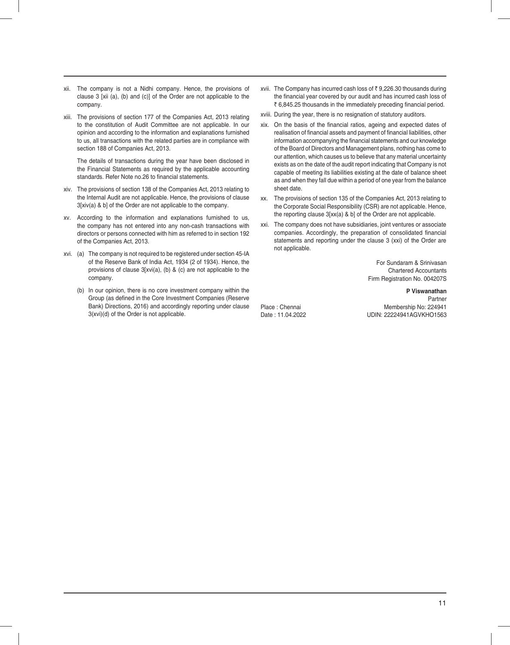- xii. The company is not a Nidhi company. Hence, the provisions of clause 3 [xii (a), (b) and (c)] of the Order are not applicable to the company.
- xiii. The provisions of section 177 of the Companies Act, 2013 relating to the constitution of Audit Committee are not applicable. In our opinion and according to the information and explanations furnished to us, all transactions with the related parties are in compliance with section 188 of Companies Act, 2013.

 The details of transactions during the year have been disclosed in the Financial Statements as required by the applicable accounting standards. Refer Note no.26 to financial statements.

- xiv. The provisions of section 138 of the Companies Act, 2013 relating to the Internal Audit are not applicable. Hence, the provisions of clause 3[xiv(a) & b] of the Order are not applicable to the company.
- xv. According to the information and explanations furnished to us, the company has not entered into any non-cash transactions with directors or persons connected with him as referred to in section 192 of the Companies Act, 2013.
- xvi. (a) The company is not required to be registered under section 45-IA of the Reserve Bank of India Act, 1934 (2 of 1934). Hence, the provisions of clause 3[xvi(a), (b) & (c) are not applicable to the company.
	- (b) In our opinion, there is no core investment company within the Group (as defined in the Core Investment Companies (Reserve Bank) Directions, 2016) and accordingly reporting under clause 3(xvi)(d) of the Order is not applicable.
- xvii. The Company has incurred cash loss of  $\bar{z}$  9,226.30 thousands during the financial year covered by our audit and has incurred cash loss of  $\bar{\tau}$  6,845.25 thousands in the immediately preceding financial period.
- xviii. During the year, there is no resignation of statutory auditors.
- xix. On the basis of the financial ratios, ageing and expected dates of realisation of financial assets and payment of financial liabilities, other information accompanying the financial statements and our knowledge of the Board of Directors and Management plans, nothing has come to our attention, which causes us to believe that any material uncertainty exists as on the date of the audit report indicating that Company is not capable of meeting its liabilities existing at the date of balance sheet as and when they fall due within a period of one year from the balance sheet date.
- xx. The provisions of section 135 of the Companies Act, 2013 relating to the Corporate Social Responsibility (CSR) are not applicable. Hence, the reporting clause 3[xx(a) & b] of the Order are not applicable.
- xxi. The company does not have subsidiaries, joint ventures or associate companies. Accordingly, the preparation of consolidated financial statements and reporting under the clause 3 (xxi) of the Order are not applicable.

For Sundaram & Srinivasan Chartered Accountants Firm Registration No. 004207S

**P Viswanathan Partner** Partner (1999) and the contract of the contract of the contract of the contract of the contract of the contract of the contract of the contract of the contract of the contract of the contract of the contract of t Place : Chennai Membership No: 224941 UDIN: 22224941AGVKHO1563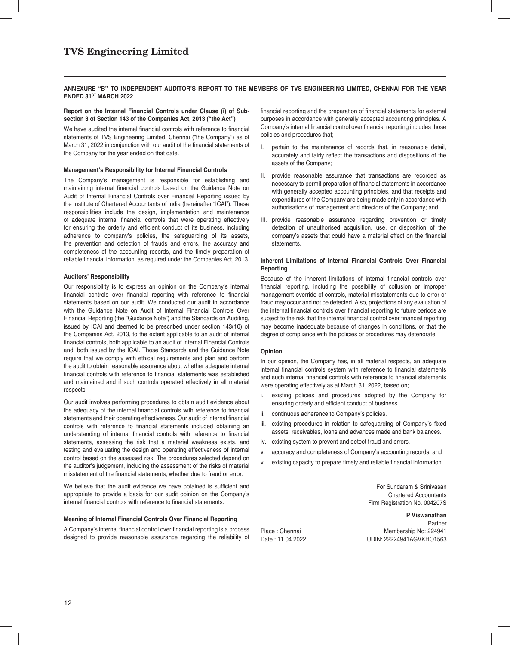### **ANNEXURE "B" TO INDEPENDENT AUDITOR'S REPORT TO THE MEMBERS OF TVS ENGINEERING LIMITED, CHENNAI FOR THE YEAR ENDED 31ST MARCH 2022**

### **Report on the Internal Financial Controls under Clause (i) of Subsection 3 of Section 143 of the Companies Act, 2013 ("the Act")**

We have audited the internal financial controls with reference to financial statements of TVS Engineering Limited, Chennai ("the Company") as of March 31, 2022 in conjunction with our audit of the financial statements of the Company for the year ended on that date.

### **Management's Responsibility for Internal Financial Controls**

The Company's management is responsible for establishing and maintaining internal financial controls based on the Guidance Note on Audit of Internal Financial Controls over Financial Reporting issued by the Institute of Chartered Accountants of India (hereinafter "ICAI"). These responsibilities include the design, implementation and maintenance of adequate internal financial controls that were operating effectively for ensuring the orderly and efficient conduct of its business, including adherence to company's policies, the safeguarding of its assets, the prevention and detection of frauds and errors, the accuracy and completeness of the accounting records, and the timely preparation of reliable financial information, as required under the Companies Act, 2013.

### **Auditors' Responsibility**

Our responsibility is to express an opinion on the Company's internal financial controls over financial reporting with reference to financial statements based on our audit. We conducted our audit in accordance with the Guidance Note on Audit of Internal Financial Controls Over Financial Reporting (the "Guidance Note") and the Standards on Auditing, issued by ICAI and deemed to be prescribed under section 143(10) of the Companies Act, 2013, to the extent applicable to an audit of internal financial controls, both applicable to an audit of Internal Financial Controls and, both issued by the ICAI. Those Standards and the Guidance Note require that we comply with ethical requirements and plan and perform the audit to obtain reasonable assurance about whether adequate internal financial controls with reference to financial statements was established and maintained and if such controls operated effectively in all material respects.

Our audit involves performing procedures to obtain audit evidence about the adequacy of the internal financial controls with reference to financial statements and their operating effectiveness. Our audit of internal financial controls with reference to financial statements included obtaining an understanding of internal financial controls with reference to financial statements, assessing the risk that a material weakness exists, and testing and evaluating the design and operating effectiveness of internal control based on the assessed risk. The procedures selected depend on the auditor's judgement, including the assessment of the risks of material misstatement of the financial statements, whether due to fraud or error.

We believe that the audit evidence we have obtained is sufficient and appropriate to provide a basis for our audit opinion on the Company's internal financial controls with reference to financial statements.

### **Meaning of Internal Financial Controls Over Financial Reporting**

A Company's internal financial control over financial reporting is a process designed to provide reasonable assurance regarding the reliability of financial reporting and the preparation of financial statements for external purposes in accordance with generally accepted accounting principles. A Company's internal financial control over financial reporting includes those policies and procedures that;

- I. pertain to the maintenance of records that, in reasonable detail, accurately and fairly reflect the transactions and dispositions of the assets of the Company;
- II. provide reasonable assurance that transactions are recorded as necessary to permit preparation of financial statements in accordance with generally accepted accounting principles, and that receipts and expenditures of the Company are being made only in accordance with authorisations of management and directors of the Company; and
- III. provide reasonable assurance regarding prevention or timely detection of unauthorised acquisition, use, or disposition of the company's assets that could have a material effect on the financial statements.

### **Inherent Limitations of Internal Financial Controls Over Financial Reporting**

Because of the inherent limitations of internal financial controls over financial reporting, including the possibility of collusion or improper management override of controls, material misstatements due to error or fraud may occur and not be detected. Also, projections of any evaluation of the internal financial controls over financial reporting to future periods are subject to the risk that the internal financial control over financial reporting may become inadequate because of changes in conditions, or that the degree of compliance with the policies or procedures may deteriorate.

### **Opinion**

In our opinion, the Company has, in all material respects, an adequate internal financial controls system with reference to financial statements and such internal financial controls with reference to financial statements were operating effectively as at March 31, 2022, based on;

- existing policies and procedures adopted by the Company for ensuring orderly and efficient conduct of business.
- ii. continuous adherence to Company's policies.
- iii. existing procedures in relation to safeguarding of Company's fixed assets, receivables, loans and advances made and bank balances.
- iv. existing system to prevent and detect fraud and errors.
- v. accuracy and completeness of Company's accounting records; and
- vi. existing capacity to prepare timely and reliable financial information.

For Sundaram & Srinivasan Chartered Accountants Firm Registration No. 004207S

**P Viswanathan Partner** Partner and the contract of the contract of the contract of the contract of the contract of the contract of the contract of the contract of the contract of the contract of the contract of the contract of the cont Place : Chennai Membership No: 224941 Date : 11.04.2022 UDIN: 22224941AGVKHO1563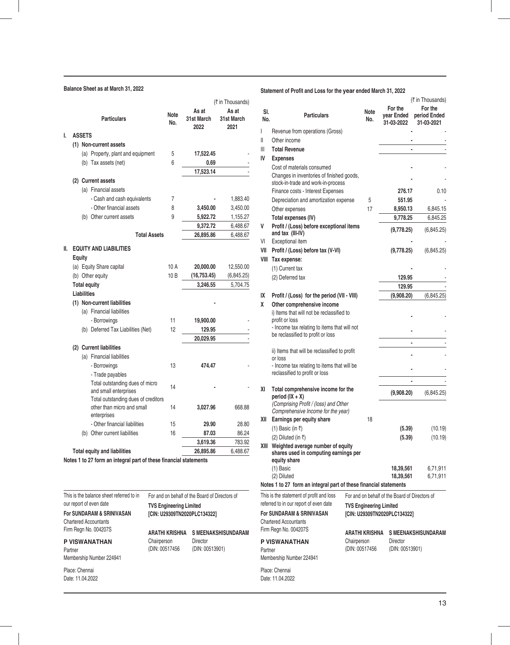## **Balance Sheet as at March 31, 2022**

|     |                    |               |                                     |             |                             | (₹ in Thousands)            |
|-----|--------------------|---------------|-------------------------------------|-------------|-----------------------------|-----------------------------|
|     |                    |               | <b>Particulars</b>                  | Note<br>No. | As at<br>31st March<br>2022 | As at<br>31st March<br>2021 |
| I.  |                    | <b>ASSETS</b> |                                     |             |                             |                             |
|     |                    |               | (1) Non-current assets              |             |                             |                             |
|     |                    |               | (a) Property, plant and equipment   | 5           | 17,522.45                   |                             |
|     |                    |               | (b) Tax assets (net)                | 6           | 0.69                        |                             |
|     |                    |               |                                     |             | 17,523.14                   |                             |
|     |                    |               | (2) Current assets                  |             |                             |                             |
|     |                    |               | (a) Financial assets                |             |                             |                             |
|     |                    |               | - Cash and cash equivalents         | 7           |                             | 1,883.40                    |
|     |                    |               | - Other financial assets            | 8           | 3,450.00                    | 3,450.00                    |
|     |                    |               | (b) Other current assets            | 9           | 5,922.72                    | 1,155.27                    |
|     |                    |               |                                     |             | 9,372.72                    | 6,488.67                    |
|     |                    |               | <b>Total Assets</b>                 |             | 26,895.86                   | 6,488.67                    |
| II. | <b>Equity</b>      |               | <b>EQUITY AND LIABILITIES</b>       |             |                             |                             |
|     |                    |               | (a) Equity Share capital            | 10 A        | 20,000.00                   | 12,550.00                   |
|     |                    |               | (b) Other equity                    | 10B         | (16, 753.45)                | (6,845.25)                  |
|     |                    |               | <b>Total equity</b>                 |             | 3,246.55                    | 5,704.75                    |
|     | <b>Liabilities</b> |               |                                     |             |                             |                             |
|     |                    |               | (1) Non-current liabilities         |             |                             |                             |
|     |                    |               | (a) Financial liabilities           |             |                             |                             |
|     |                    |               | - Borrowings                        | 11          | 19,900.00                   |                             |
|     |                    |               | (b) Deferred Tax Liabilities (Net)  | 12          | 129.95                      |                             |
|     |                    |               |                                     |             | 20,029.95                   |                             |
|     |                    |               | (2) Current liabilities             |             |                             |                             |
|     |                    |               | (a) Financial liabilities           |             |                             |                             |
|     |                    |               | - Borrowings                        | 13          | 474.47                      |                             |
|     |                    |               | - Trade payables                    |             |                             |                             |
|     |                    |               | Total outstanding dues of micro     | 14          |                             |                             |
|     |                    |               | and small enterprises               |             |                             |                             |
|     |                    |               | Total outstanding dues of creditors |             |                             |                             |
|     |                    |               | other than micro and small          | 14          | 3,027.96                    | 668.88                      |
|     |                    |               | enterprises                         |             |                             |                             |
|     |                    |               | - Other financial liabilities       | 15          | 29.90                       | 28.80                       |
|     |                    |               | (b) Other current liabilities       | 16          | 87.03                       | 86.24                       |
|     |                    |               |                                     |             | 3,619.36                    | 783.92                      |
|     |                    |               | <b>Total equity and liabilities</b> |             | 26,895.86                   | 6,488.67                    |

| This is the balance sheet referred to in | For and on behalf of the Board of Directors of |                            |  |  |  |
|------------------------------------------|------------------------------------------------|----------------------------|--|--|--|
| our report of even date                  | <b>TVS Engineering Limited</b>                 |                            |  |  |  |
| <b>For SUNDARAM &amp; SRINIVASAN</b>     | [CIN: U29309TN2020PLC134322]                   |                            |  |  |  |
| <b>Chartered Accountants</b>             |                                                |                            |  |  |  |
| Firm Regn No. 004207S                    | <b>ARATHI KRISHNA</b>                          | <b>S MEENAKSHISUNDARAM</b> |  |  |  |
| <b>P VISWANATHAN</b>                     | Chairperson                                    | Director                   |  |  |  |
| Partner                                  | (DIN: 00517456                                 | (DIN: 00513901)            |  |  |  |
| Membership Number 224941                 |                                                |                            |  |  |  |
| Place: Chennai                           |                                                |                            |  |  |  |

Date: 11.04.2022

## **Statement of Profit and Loss for the year ended March 31, 2022**

| SI.<br>No. | <b>Particulars</b>                                                                         |                               | <b>Note</b><br>No. | For the<br>year Ended<br>31-03-2022                                              | (₹ in Thousands)<br>For the<br>period Ended<br>31-03-2021 |
|------------|--------------------------------------------------------------------------------------------|-------------------------------|--------------------|----------------------------------------------------------------------------------|-----------------------------------------------------------|
| I          | Revenue from operations (Gross)                                                            |                               |                    |                                                                                  |                                                           |
| Ш          | Other income                                                                               |                               |                    |                                                                                  |                                                           |
| Ш          | <b>Total Revenue</b>                                                                       |                               |                    |                                                                                  |                                                           |
| IV         | <b>Expenses</b>                                                                            |                               |                    |                                                                                  |                                                           |
|            | Cost of materials consumed                                                                 |                               |                    |                                                                                  |                                                           |
|            | Changes in inventories of finished goods,                                                  |                               |                    |                                                                                  |                                                           |
|            | stock-in-trade and work-in-process                                                         |                               |                    |                                                                                  |                                                           |
|            | Finance costs - Interest Expenses                                                          |                               |                    | 276.17                                                                           | 0.10                                                      |
|            | Depreciation and amortization expense                                                      |                               | 5                  | 551.95                                                                           |                                                           |
|            | Other expenses                                                                             |                               | 17                 | 8,950.13                                                                         | 6,845.15                                                  |
| V          | Total expenses (IV)                                                                        |                               |                    | 9,778.25                                                                         | 6,845.25                                                  |
|            | Profit / (Loss) before exceptional items<br>and tax (III-IV)                               |                               |                    | (9,778.25)                                                                       | (6,845.25)                                                |
| VI         | Exceptional item                                                                           |                               |                    |                                                                                  |                                                           |
| VII        | Profit / (Loss) before tax (V-VI)                                                          |                               |                    | (9,778.25)                                                                       | (6,845.25)                                                |
| VIII       | Tax expense:                                                                               |                               |                    |                                                                                  |                                                           |
|            | (1) Current tax                                                                            |                               |                    |                                                                                  |                                                           |
|            | (2) Deferred tax                                                                           |                               |                    | 129.95                                                                           |                                                           |
| IX         |                                                                                            |                               |                    | 129.95                                                                           | (6,845.25)                                                |
| X          | Profit / (Loss) for the period (VII - VIII)<br>Other comprehensive income                  |                               |                    | (9,908.20)                                                                       |                                                           |
|            | i) Items that will not be reclassified to<br>profit or loss                                |                               |                    |                                                                                  |                                                           |
|            | - Income tax relating to items that will not<br>be reclassified to profit or loss          |                               |                    |                                                                                  |                                                           |
|            | ii) Items that will be reclassified to profit                                              |                               |                    |                                                                                  |                                                           |
|            | or loss                                                                                    |                               |                    |                                                                                  |                                                           |
|            | - Income tax relating to items that will be<br>reclassified to profit or loss              |                               |                    |                                                                                  |                                                           |
|            |                                                                                            |                               |                    |                                                                                  |                                                           |
| ΧI         | Total comprehensive income for the<br>period $(IX + X)$                                    |                               |                    | (9,908.20)                                                                       | (6,845.25)                                                |
|            | (Comprising Profit / (loss) and Other<br>Comprehensive Income for the year)                |                               |                    |                                                                                  |                                                           |
| XII        | Earnings per equity share                                                                  |                               | 18                 |                                                                                  |                                                           |
|            | (1) Basic (in ₹)                                                                           |                               |                    | (5.39)                                                                           | (10.19)                                                   |
|            | (2) Diluted (in ₹)                                                                         |                               |                    | (5.39)                                                                           | (10.19)                                                   |
| XIII       | Weighted average number of equity<br>shares used in computing earnings per<br>equity share |                               |                    |                                                                                  |                                                           |
|            | (1) Basic                                                                                  |                               |                    | 18,39,561                                                                        | 6,71,911                                                  |
|            | (2) Diluted                                                                                |                               |                    | 18,39,561                                                                        | 6,71,911                                                  |
|            | Notes 1 to 27 form an integral part of these financial statements                          |                               |                    |                                                                                  |                                                           |
|            | This is the statement of profit and loss<br>referred to in our report of even date         |                               |                    | For and on behalf of the Board of Directors of<br><b>TVS Engineering Limited</b> |                                                           |
|            | <b>For SUNDARAM &amp; SRINIVASAN</b>                                                       |                               |                    | [CIN: U29309TN2020PLC134322]                                                     |                                                           |
|            | Chartered Accountants                                                                      |                               |                    |                                                                                  |                                                           |
|            | Firm Regn No. 004207S                                                                      | ARATHI KRISHNA                |                    |                                                                                  | <b>S MEENAKSHISUNDARAM</b>                                |
| Partner    | <b>P VISWANATHAN</b>                                                                       | Chairperson<br>(DIN: 00517456 |                    | Director<br>(DIN: 00513901)                                                      |                                                           |
|            | Membership Number 224941                                                                   |                               |                    |                                                                                  |                                                           |
|            | Place: Chennai<br>Date: 11.04.2022                                                         |                               |                    |                                                                                  |                                                           |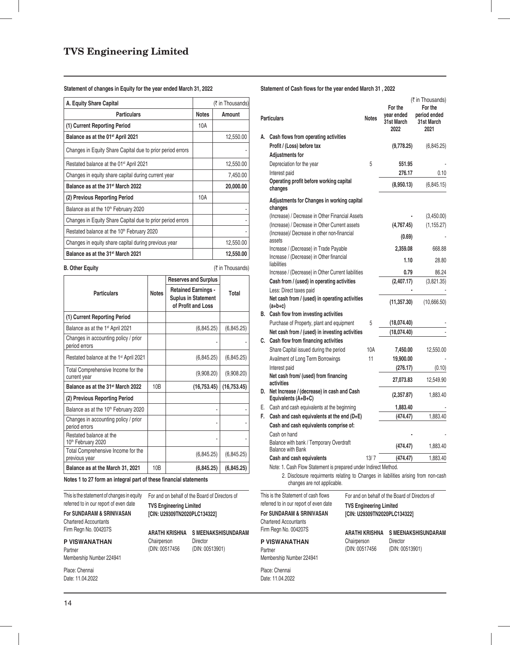## **Statement of changes in Equity for the year ended March 31, 2022**

| A. Equity Share Capital                                    |              | (₹ in Thousands) |
|------------------------------------------------------------|--------------|------------------|
| <b>Particulars</b>                                         | <b>Notes</b> | Amount           |
| (1) Current Reporting Period                               | 10A          |                  |
| Balance as at the 01 <sup>st</sup> April 2021              |              | 12,550.00        |
| Changes in Equity Share Capital due to prior period errors |              |                  |
| Restated balance at the 01 <sup>st</sup> April 2021        |              | 12,550.00        |
| Changes in equity share capital during current year        |              | 7,450.00         |
| Balance as at the 31 <sup>st</sup> March 2022              |              | 20,000.00        |
| (2) Previous Reporting Period                              | 10A          |                  |
| Balance as at the 10 <sup>th</sup> February 2020           |              |                  |
| Changes in Equity Share Capital due to prior period errors |              |                  |
| Restated balance at the 10 <sup>th</sup> February 2020     |              |                  |
| Changes in equity share capital during previous year       |              | 12,550.00        |
| Balance as at the 31 <sup>st</sup> March 2021              |              | 12,550.00        |

| <b>B. Other Equity</b>                                |              |                                                                                | (₹ in Thousands) |  |
|-------------------------------------------------------|--------------|--------------------------------------------------------------------------------|------------------|--|
|                                                       |              | <b>Reserves and Surplus</b>                                                    |                  |  |
| <b>Particulars</b>                                    | <b>Notes</b> | <b>Retained Earnings -</b><br><b>Suplus in Statement</b><br>of Profit and Loss | Total            |  |
| (1) Current Reporting Period                          |              |                                                                                |                  |  |
| Balance as at the 1 <sup>st</sup> April 2021          |              | (6,845.25)                                                                     | (6,845.25)       |  |
| Changes in accounting policy / prior<br>period errors |              |                                                                                |                  |  |
| Restated balance at the 1 <sup>st</sup> April 2021    |              | (6,845.25)                                                                     | (6,845.25)       |  |
| Total Comprehensive Income for the<br>current year    |              | (9,908.20)                                                                     | (9,908.20)       |  |
| Balance as at the 31 <sup>st</sup> March 2022         | 10B          | (16, 753.45)                                                                   | (16, 753.45)     |  |
| (2) Previous Reporting Period                         |              |                                                                                |                  |  |
| Balance as at the 10 <sup>th</sup> February 2020      |              |                                                                                |                  |  |
| Changes in accounting policy / prior<br>period errors |              |                                                                                |                  |  |
| Restated balance at the<br>10th February 2020         |              |                                                                                |                  |  |
| Total Comprehensive Income for the<br>previous year   |              | (6,845.25)                                                                     | (6,845.25)       |  |
| Balance as at the March 31, 2021                      | 10B          | (6, 845.25)                                                                    | (6, 845.25)      |  |

**Notes 1 to 27 form an integral part of these financial statements** 

I his is the statement of changes in equity For and on behalf of the Board of Directors of referred to in our report of even date

**TVS Engineering Limited**

**ARATHI KRISHNA S MEENAKSHISUNDARAM**

(DIN: 00513901)

## **[CIN: U29309TN2020PLC134322]**

Chairperson Director<br>(DIN: 00517456 (DIN: 00

Chartered Accountants Firm Regn No. 004207S

**For SUNDARAM & SRINIVASAN**

**P VISWANATHAN**

Partner Membership Number 224941

Place: Chennai Date: 11.04.2022 Statement of Cash flows for the year ended March 31, 2022

|    | <b>Particulars</b>                                                                                                | <b>Notes</b> | For the<br>year ended<br>31st March<br>2022    | (₹ in Thousands)<br>For the<br>period ended<br>31st March<br>2021 |
|----|-------------------------------------------------------------------------------------------------------------------|--------------|------------------------------------------------|-------------------------------------------------------------------|
| А. | Cash flows from operating activities                                                                              |              |                                                |                                                                   |
|    | Profit / (Loss) before tax                                                                                        |              | (9,778.25)                                     | (6,845.25)                                                        |
|    | <b>Adjustments for</b>                                                                                            |              |                                                |                                                                   |
|    | Depreciation for the year                                                                                         | 5            | 551.95                                         |                                                                   |
|    | Interest paid                                                                                                     |              | 276.17                                         | 0.10                                                              |
|    | Operating profit before working capital<br>changes                                                                |              | (8,950.13)                                     | (6,845.15)                                                        |
|    | Adjustments for Changes in working capital<br>changes                                                             |              |                                                |                                                                   |
|    | (Increase) / Decrease in Other Financial Assets                                                                   |              |                                                | (3,450.00)                                                        |
|    | (Increase) / Decrease in Other Current assets                                                                     |              | (4,767.45)                                     | (1, 155.27)                                                       |
|    | (Increase)/ Decrease in other non-financial<br>assets                                                             |              | (0.69)                                         |                                                                   |
|    | Increase / (Decrease) in Trade Payable                                                                            |              | 2,359.08                                       | 668.88                                                            |
|    | Increase / (Decrease) in Other financial<br>liabilities                                                           |              | 1.10                                           | 28.80                                                             |
|    | Increase / (Decrease) in Other Current liabilities                                                                |              | 0.79                                           | 86.24                                                             |
|    | Cash from / (used) in operating activities                                                                        |              | (2,407.17)                                     | (3,821.35)                                                        |
|    | Less: Direct taxes paid                                                                                           |              |                                                |                                                                   |
|    | Net cash from / (used) in operating activities<br>$(a+b+c)$                                                       |              | (11, 357.30)                                   | (10,666.50)                                                       |
|    | B. Cash flow from investing activities                                                                            |              |                                                |                                                                   |
|    | Purchase of Property, plant and equipment                                                                         | 5            | (18,074.40)                                    |                                                                   |
|    | Net cash from / (used) in investing activities                                                                    |              | (18,074.40)                                    |                                                                   |
|    | C. Cash flow from financing activities                                                                            |              |                                                |                                                                   |
|    | Share Capital issued during the period                                                                            | 10A          | 7,450.00                                       | 12,550.00                                                         |
|    | Availment of Long Term Borrowings                                                                                 | 11           | 19,900.00                                      |                                                                   |
|    | Interest paid                                                                                                     |              | (276.17)                                       | (0.10)                                                            |
|    | Net cash from/ (used) from financing<br>activities                                                                |              | 27,073.83                                      | 12,549.90                                                         |
|    | D. Net Increase / (decrease) in cash and Cash<br>Equivalents (A+B+C)                                              |              | (2,357.87)                                     | 1,883.40                                                          |
|    | E. Cash and cash equivalents at the beginning                                                                     |              | 1,883.40                                       |                                                                   |
| F. | Cash and cash equivalents at the end $(D+E)$                                                                      |              | (474.47)                                       | 1,883.40                                                          |
|    | Cash and cash equivalents comprise of:                                                                            |              |                                                |                                                                   |
|    | Cash on hand                                                                                                      |              |                                                |                                                                   |
|    | Balance with bank / Temporary Overdraft<br><b>Balance with Bank</b>                                               |              | (474.47)                                       | 1,883.40                                                          |
|    | Cash and cash equivalents                                                                                         | 13/7         | (474.47)                                       | 1,883.40                                                          |
|    | Note: 1. Cash Flow Statement is prepared under Indirect Method.                                                   |              |                                                |                                                                   |
|    | 2. Disclosure requirments relating to Changes in liabilities arising from non-cash<br>changes are not applicable. |              |                                                |                                                                   |
|    | This is the Statement of cash flows                                                                               |              | For and on behalf of the Board of Directors of |                                                                   |

referred to in our report of even date **For SUNDARAM & SRINIVASAN** Chartered Accountants Firm Regn No. 004207S

## **P VISWANATHAN**

Partner Membership Number 224941

Place: Chennai Date: 11.04.2022 **TVS Engineering Limited**

**[CIN: U29309TN2020PLC134322]**

| ARATHI KRISHNA | <b>S MEENAKSHISUNDARAM</b> |
|----------------|----------------------------|
| Chairperson    | Director                   |
| (DIN: 00517456 | (DIN: 00513901)            |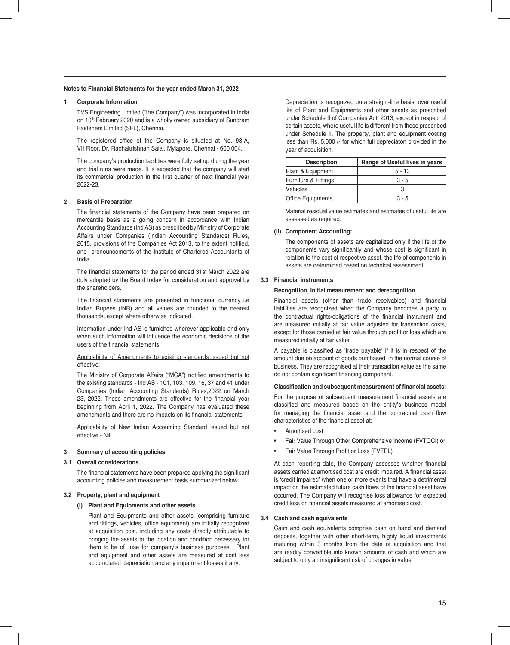### **1 Corporate Information**

 TVS Engineering Limited ("the Company") was incorporated in India on 10<sup>th</sup> February 2020 and is a wholly owned subsidiary of Sundram Fasteners Limited (SFL), Chennai.

The registered office of the Company is situated at No. 98-A, VII Floor, Dr. Radhakrishnan Salai, Mylapore, Chennai - 600 004.

 The company's production facilities were fully set up during the year and trial runs were made. It is expected that the company will start its commercial production in the first quarter of next financial year 2022-23.

### **2 Basis of Preparation**

The financial statements of the Company have been prepared on mercantile basis as a going concern in accordance with Indian Accounting Standards (Ind AS) as prescribed by Ministry of Corporate Affairs under Companies (Indian Accounting Standards) Rules, 2015, provisions of the Companies Act 2013, to the extent notified, and pronouncements of the Institute of Chartered Accountants of India.

The financial statements for the period ended 31st March 2022 are duly adopted by the Board today for consideration and approval by the shareholders.

The financial statements are presented in functional currency i.e Indian Rupees (INR) and all values are rounded to the nearest thousands, except where otherwise indicated.

 Information under Ind AS is furnished wherever applicable and only when such information will influence the economic decisions of the users of the financial statements.

### Applicability of Amendments to existing standards issued but not effective:

The Ministry of Corporate Affairs ("MCA") notified amendments to the existing standards - Ind AS - 101, 103, 109, 16, 37 and 41 under Companies (Indian Accounting Standards) Rules,2022 on March 23, 2022. These amendments are effective for the financial year beginning from April 1, 2022. The Company has evaluated these amendments and there are no impacts on its financial statements.

 Applicability of New Indian Accounting Standard issued but not effective - Nil.

#### **3 Summary of accounting policies**

### **3.1 Overall considerations**

The financial statements have been prepared applying the significant accounting policies and measurement basis summarized below:

#### **3.2 Property, plant and equipment**

### **(i) Plant and Equipments and other assets**

 Plant and Equipments and other assets (comprising furniture and fittings, vehicles, office equipment) are initially recognized at acquisition cost, including any costs directly attributable to bringing the assets to the location and condition necessary for them to be of use for company's business purposes. Plant and equipment and other assets are measured at cost less accumulated depreciation and any impairment losses if any.

 Depreciation is recognized on a straight-line basis, over useful life of Plant and Equipments and other assets as prescribed under Schedule II of Companies Act, 2013, except in respect of certain assets, where useful life is different from those prescribed under Schedule II. The property, plant and equipment costing less than Rs. 5,000 /- for which full depreciaton provided in the year of acquisition.

| <b>Description</b>       | Range of Useful lives in years |
|--------------------------|--------------------------------|
| Plant & Equipment        | $5 - 13$                       |
| Furniture & Fittings     | $3 - 5$                        |
| <b>Nehicles</b>          |                                |
| <b>Office Equipments</b> | $3 - 5$                        |

 Material residual value estimates and estimates of useful life are assessed as required.

#### **(ii) Component Accounting:**

 The components of assets are capitalized only if the life of the components vary significantly and whose cost is significant in relation to the cost of respective asset, the life of components in assets are determined based on technical assessment.

### **3.3 Financial instruments**

### **Recognition, initial measurement and derecognition**

Financial assets (other than trade receivables) and financial liabilities are recognized when the Company becomes a party to the contractual rights/obligations of the financial instrument and are measured initially at fair value adjusted for transaction costs, except for those carried at fair value through profit or loss which are measured initially at fair value.

A payable is classified as 'trade payable' if it is in respect of the amount due on account of goods purchased in the normal course of business. They are recognised at their transaction value as the same do not contain significant financing component.

### **Classification and subsequent measurement of financial assets:**

For the purpose of subsequent measurement financial assets are classified and measured based on the entity's business model for managing the financial asset and the contractual cash flow characteristics of the financial asset at:

- Amortised cost
- Fair Value Through Other Comprehensive Income (FVTOCI) or
- Fair Value Through Profit or Loss (FVTPL)

At each reporting date, the Company assesses whether financial assets carried at amortised cost are credit impaired. A financial asset is 'credit impaired' when one or more events that have a detrimental impact on the estimated future cash flows of the financial asset have occurred. The Company will recognise loss allowance for expected credit loss on financial assets measured at amortised cost.

#### **3.4 Cash and cash equivalents**

 Cash and cash equivalents comprise cash on hand and demand deposits, together with other short-term, highly liquid investments maturing within 3 months from the date of acquisition and that are readily convertible into known amounts of cash and which are subject to only an insignificant risk of changes in value.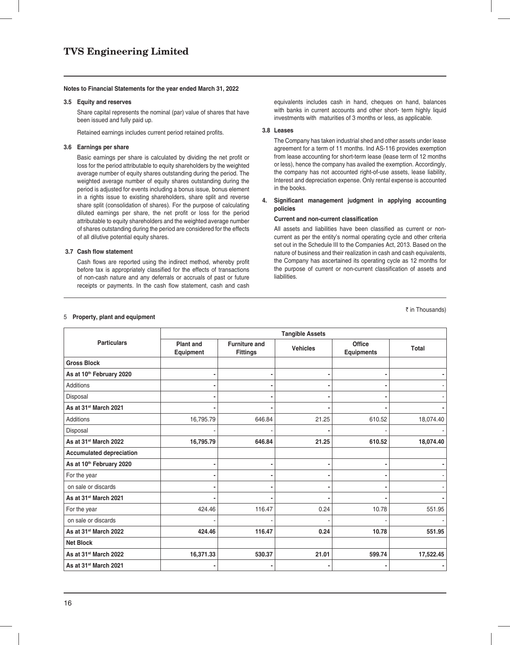### **3.5 Equity and reserves**

 Share capital represents the nominal (par) value of shares that have been issued and fully paid up.

Retained earnings includes current period retained profits.

### **3.6 Earnings per share**

Basic earnings per share is calculated by dividing the net profit or loss for the period attributable to equity shareholders by the weighted average number of equity shares outstanding during the period. The weighted average number of equity shares outstanding during the period is adjusted for events including a bonus issue, bonus element in a rights issue to existing shareholders, share split and reverse share split (consolidation of shares). For the purpose of calculating diluted earnings per share, the net profit or loss for the period attributable to equity shareholders and the weighted average number of shares outstanding during the period are considered for the effects of all dilutive potential equity shares.

### **3.7 Cash flow statement**

Cash flows are reported using the indirect method, whereby profit before tax is appropriately classified for the effects of transactions of non-cash nature and any deferrals or accruals of past or future receipts or payments. In the cash flow statement, cash and cash

equivalents includes cash in hand, cheques on hand, balances with banks in current accounts and other short- term highly liquid investments with maturities of 3 months or less, as applicable.

### **3.8 Leases**

 The Company has taken industrial shed and other assets under lease agreement for a term of 11 months. Ind AS-116 provides exemption from lease accounting for short-term lease (lease term of 12 months or less), hence the company has availed the exemption. Accordingly, the company has not accounted right-of-use assets, lease liability, Interest and depreciation expense. Only rental expense is accounted in the books.

4. Significant management judgment in applying accounting **policies**

### **Current and non-current classification**

All assets and liabilities have been classified as current or noncurrent as per the entity's normal operating cycle and other criteria set out in the Schedule III to the Companies Act, 2013. Based on the nature of business and their realization in cash and cash equivalents, the Company has ascertained its operating cycle as 12 months for the purpose of current or non-current classification of assets and liabilities.

₹ in Thousands)

### 5 **Property, plant and equipment**

|                                   | <b>Tangible Assets</b>        |                                         |                 |                      |           |  |  |
|-----------------------------------|-------------------------------|-----------------------------------------|-----------------|----------------------|-----------|--|--|
| <b>Particulars</b>                | <b>Plant and</b><br>Equipment | <b>Furniture and</b><br><b>Fittings</b> | <b>Vehicles</b> | Office<br>Equipments | Total     |  |  |
| <b>Gross Block</b>                |                               |                                         |                 |                      |           |  |  |
| As at 10th February 2020          |                               |                                         |                 |                      |           |  |  |
| <b>Additions</b>                  |                               |                                         |                 |                      |           |  |  |
| Disposal                          |                               |                                         |                 |                      |           |  |  |
| As at 31 <sup>st</sup> March 2021 |                               |                                         |                 |                      |           |  |  |
| <b>Additions</b>                  | 16,795.79                     | 646.84                                  | 21.25           | 610.52               | 18,074.40 |  |  |
| Disposal                          |                               |                                         |                 |                      |           |  |  |
| As at 31 <sup>st</sup> March 2022 | 16,795.79                     | 646.84                                  | 21.25           | 610.52               | 18,074.40 |  |  |
| <b>Accumulated depreciation</b>   |                               |                                         |                 |                      |           |  |  |
| As at 10th February 2020          |                               |                                         |                 |                      |           |  |  |
| For the year                      |                               |                                         |                 |                      |           |  |  |
| on sale or discards               |                               |                                         |                 |                      |           |  |  |
| As at 31 <sup>st</sup> March 2021 |                               |                                         |                 |                      |           |  |  |
| For the year                      | 424.46                        | 116.47                                  | 0.24            | 10.78                | 551.95    |  |  |
| on sale or discards               |                               |                                         |                 |                      |           |  |  |
| As at 31 <sup>st</sup> March 2022 | 424.46                        | 116.47                                  | 0.24            | 10.78                | 551.95    |  |  |
| <b>Net Block</b>                  |                               |                                         |                 |                      |           |  |  |
| As at 31 <sup>st</sup> March 2022 | 16,371.33                     | 530.37                                  | 21.01           | 599.74               | 17,522.45 |  |  |
| As at 31 <sup>st</sup> March 2021 |                               |                                         |                 |                      |           |  |  |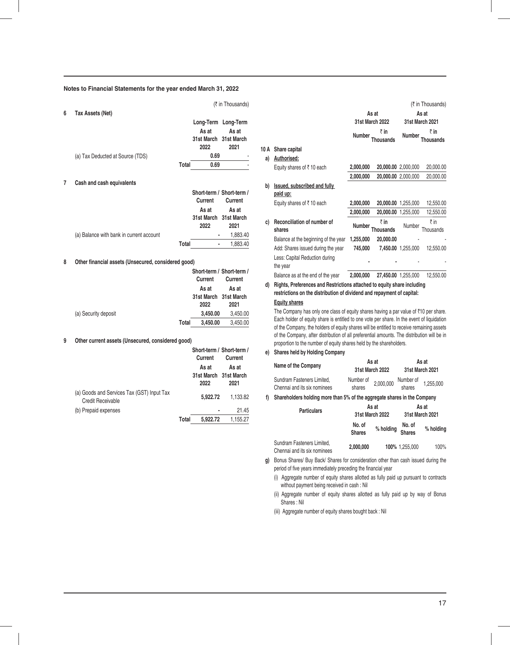### 6 Tax

| Tax Assets (Net)                 |       |                                        |                                      |
|----------------------------------|-------|----------------------------------------|--------------------------------------|
|                                  |       | As at<br>31st March 31st March<br>2022 | Long-Term Long-Term<br>As at<br>2021 |
| (a) Tax Deducted at Source (TDS) |       | 0.69                                   |                                      |
|                                  | Total | 0.69                                   |                                      |
|                                  |       |                                        |                                      |

(₹ in Thousands)

**10** 

### **7 Cash and cash equivalents**

|                                          |       |         | Short-term / Short-term /     |
|------------------------------------------|-------|---------|-------------------------------|
|                                          |       | Current | Current                       |
|                                          |       | As at   | As at                         |
|                                          |       | 2022    | 31st March 31st March<br>2021 |
| (a) Balance with bank in current account |       |         | 1.883.40                      |
|                                          | Total |         | 1.883.40                      |

### 8 Other financial assets (Unsecured, considered good)

|                      |       | Short-term / Short-term / |          |
|----------------------|-------|---------------------------|----------|
|                      |       | Current                   | Current  |
|                      |       | As at                     | As at    |
|                      |       | 31st March 31st March     |          |
|                      |       | 2022                      | 2021     |
| (a) Security deposit |       | 3.450.00                  | 3.450.00 |
|                      | Total | 3.450.00                  | 3.450.00 |

## **9 Other current assets (Unsecured, considered good)**

|                                                                        |       | Short-term / Short-term /<br>Current   | Current       |
|------------------------------------------------------------------------|-------|----------------------------------------|---------------|
|                                                                        |       | As at<br>31st March 31st March<br>2022 | As at<br>2021 |
| (a) Goods and Services Tax (GST) Input Tax<br><b>Credit Receivable</b> |       | 5.922.72                               | 1,133.82      |
| (b) Prepaid expenses                                                   |       |                                        | 21.45         |
|                                                                        | Total | 5.922.72                               | 1.155.27      |

|    |                                            |                            |                         | $(7 \text{ in Inousands})$ |                         |  |
|----|--------------------------------------------|----------------------------|-------------------------|----------------------------|-------------------------|--|
|    |                                            | As at                      |                         | As at<br>31st March 2021   |                         |  |
|    |                                            |                            | <b>31st March 2022</b>  |                            |                         |  |
|    |                                            | ₹in<br>Number<br>Thousands |                         | Number                     | ₹in<br><b>Thousands</b> |  |
| А  | Share capital                              |                            |                         |                            |                         |  |
| a) | Authorised:                                |                            |                         |                            |                         |  |
|    | Equity shares of $\bar{z}$ 10 each         | 2,000,000                  |                         | 20,000.00 2,000,000        | 20,000.00               |  |
|    |                                            | 2,000,000                  |                         | 20,000.00 2,000,000        | 20,000.00               |  |
| b) | Issued, subscribed and fully<br>paid up:   |                            |                         |                            |                         |  |
|    | Equity shares of $\bar{z}$ 10 each         | 2,000,000                  |                         | 20,000.00 1,255,000        | 12,550.00               |  |
|    |                                            | 2,000,000                  |                         | 20,000.00 1,255,000        | 12,550.00               |  |
| C) | Reconciliation of number of<br>shares      | Number                     | ₹in<br><b>Thousands</b> | Number                     | ₹in<br>Thousands        |  |
|    | Balance at the beginning of the year       | 1,255,000                  | 20,000.00               |                            |                         |  |
|    | Add: Shares issued during the year         | 745,000                    |                         | 7,450.00 1,255,000         | 12,550.00               |  |
|    | Less: Capital Reduction during<br>the year |                            |                         |                            |                         |  |
|    | Balance as at the end of the year          | 2,000,000                  |                         | 27,450.00 1,255,000        | 12,550.00               |  |

**d) Rights, Preferences and Restrictions attached to equity share including restrictions on the distribution of dividend and repayment of capital:**

## **Equity shares**

The Company has only one class of equity shares having a par value of  $\bar{\tau}$ 10 per share. Each holder of equity share is entitled to one vote per share. In the event of liquidation of the Company, the holders of equity shares will be entitled to receive remaining assets of the Company, after distribution of all preferential amounts. The distribution will be in proportion to the number of equity shares held by the shareholders.

**e) Shares held by Holding Company**

| Name of the Company                                        |                     | As at<br>31st March 2022 | As at<br>31st March 2021 |           |  |
|------------------------------------------------------------|---------------------|--------------------------|--------------------------|-----------|--|
| Sundram Fasteners Limited.<br>Chennai and its six nominees | Number of<br>shares | 2,000,000                | Number of<br>shares      | 1,255,000 |  |

**f) Shareholders holding more than 5% of the aggregate shares in the Company**

| <b>Particulars</b>                                         | 31st March 2022         | As at     | As at<br>31st March 2021 |           |  |
|------------------------------------------------------------|-------------------------|-----------|--------------------------|-----------|--|
|                                                            | No. of<br><b>Shares</b> | % holding | No. of<br><b>Shares</b>  | % holding |  |
| Sundram Fasteners Limited.<br>Chennai and its six nominees | 2.000.000               |           | 100% 1.255.000           | 100%      |  |

**g)** Bonus Shares/ Buy Back/ Shares for consideration other than cash issued during the period of five years immediately preceding the financial year

(i) Aggregate number of equity shares allotted as fully paid up pursuant to contracts without payment being received in cash : Nil

(ii) Aggregate number of equity shares allotted as fully paid up by way of Bonus Shares : Nil

(iii) Aggregate number of equity shares bought back : Nil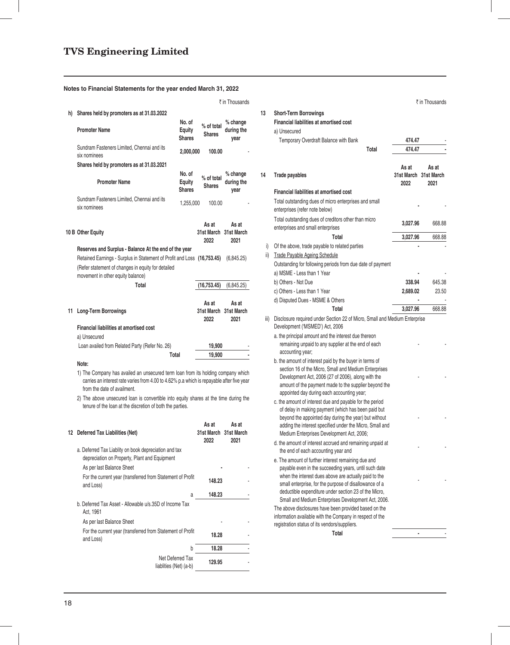|    |                                                                                                                                                                                                              |                                   |                                        | ₹ in Thousands                 |  |  |  |  |
|----|--------------------------------------------------------------------------------------------------------------------------------------------------------------------------------------------------------------|-----------------------------------|----------------------------------------|--------------------------------|--|--|--|--|
| h) | Shares held by promoters as at 31.03.2022                                                                                                                                                                    |                                   |                                        |                                |  |  |  |  |
|    | <b>Promoter Name</b>                                                                                                                                                                                         | No. of<br>Equity<br><b>Shares</b> | % of total<br><b>Shares</b>            | % change<br>during the<br>year |  |  |  |  |
|    | Sundram Fasteners Limited, Chennai and its<br>six nominees                                                                                                                                                   | 2,000,000                         | 100.00                                 |                                |  |  |  |  |
|    | Shares held by promoters as at 31.03.2021                                                                                                                                                                    |                                   |                                        |                                |  |  |  |  |
|    | <b>Promoter Name</b>                                                                                                                                                                                         | No. of<br>Equity<br><b>Shares</b> | % of total<br><b>Shares</b>            | % change<br>during the<br>year |  |  |  |  |
|    | Sundram Fasteners Limited, Chennai and its<br>six nominees                                                                                                                                                   | 1,255,000                         | 100.00                                 |                                |  |  |  |  |
|    | 10 B Other Equity                                                                                                                                                                                            |                                   | As at<br>31st March 31st March<br>2022 | As at<br>2021                  |  |  |  |  |
|    | Reserves and Surplus - Balance At the end of the year                                                                                                                                                        |                                   |                                        |                                |  |  |  |  |
|    | Retained Earnings - Surplus in Statement of Profit and Loss (16,753.45)                                                                                                                                      |                                   |                                        | (6,845.25)                     |  |  |  |  |
|    | (Refer statement of changes in equity for detailed<br>movement in other equity balance)                                                                                                                      |                                   |                                        |                                |  |  |  |  |
|    | Total                                                                                                                                                                                                        |                                   | (16, 753.45)                           | (6,845.25)                     |  |  |  |  |
| 11 | <b>Long-Term Borrowings</b>                                                                                                                                                                                  |                                   | As at<br><b>31st March</b><br>2022     | As at<br>31st March<br>2021    |  |  |  |  |
|    | <b>Financial liabilities at amortised cost</b>                                                                                                                                                               |                                   |                                        |                                |  |  |  |  |
|    | a) Unsecured                                                                                                                                                                                                 |                                   |                                        |                                |  |  |  |  |
|    | Loan availed from Related Party (Refer No. 26)                                                                                                                                                               |                                   | 19,900                                 |                                |  |  |  |  |
|    | Total<br>19.900                                                                                                                                                                                              |                                   |                                        |                                |  |  |  |  |
|    | Note:                                                                                                                                                                                                        |                                   |                                        |                                |  |  |  |  |
|    | 1) The Company has availed an unsecured term loan from its holding company which<br>carries an interest rate varies from 4.00 to 4.62% p.a which is repayable after five year<br>from the date of availment. |                                   |                                        |                                |  |  |  |  |
|    | 2) The above unsecured loan is convertible into equity shares at the time during the<br>tenure of the loan at the discretion of both the parties.                                                            |                                   |                                        |                                |  |  |  |  |

| 12 | Deferred Tax Liabilities (Net)                                                                         | As at<br>31st March 31st March<br>2022 | As at<br>2021 |
|----|--------------------------------------------------------------------------------------------------------|----------------------------------------|---------------|
|    | a. Deferred Tax Liablity on book depreciation and tax<br>depreciation on Property, Plant and Equipment |                                        |               |
|    | As per last Balance Sheet                                                                              |                                        |               |
|    | For the current year (transferred from Statement of Profit<br>and Loss)                                | 148.23                                 |               |
|    | a                                                                                                      | 148.23                                 |               |
|    | b. Deferred Tax Asset - Allowable u/s.35D of Income Tax<br>Act, 1961                                   |                                        |               |
|    | As per last Balance Sheet                                                                              |                                        |               |
|    | For the current year (transferred from Statement of Profit<br>and Loss)                                | 18.28                                  |               |
|    | b                                                                                                      | 18.28                                  |               |
|    | Net Deferred Tax<br>liablities (Net) (a-b)                                                             | 129.95                                 |               |
|    |                                                                                                        |                                        |               |

|          | ₹ in Thousands                      |      |                                                                                                                                                                                                                                 |                     | ₹ in Thousands      |
|----------|-------------------------------------|------|---------------------------------------------------------------------------------------------------------------------------------------------------------------------------------------------------------------------------------|---------------------|---------------------|
| al       | $%$ change<br>during the            | 13   | <b>Short-Term Borrowings</b><br>Financial liabilities at amortised cost<br>a) Unsecured                                                                                                                                         |                     |                     |
|          | year                                |      | Temporary Overdraft Balance with Bank                                                                                                                                                                                           | 474.47              |                     |
| )0       |                                     |      | Total                                                                                                                                                                                                                           | 474.47              |                     |
|          | % change                            | 14   | Trade payables                                                                                                                                                                                                                  | As at<br>31st March | As at<br>31st March |
| al       | during the                          |      |                                                                                                                                                                                                                                 | 2022                | 2021                |
|          | year                                |      | <b>Financial liabilities at amortised cost</b>                                                                                                                                                                                  |                     |                     |
| Ю        |                                     |      | Total outstanding dues of micro enterprises and small<br>enterprises (refer note below)                                                                                                                                         |                     |                     |
|          | As at<br>า 31st March               |      | Total outstanding dues of creditors other than micro<br>enterprises and small enterprises                                                                                                                                       | 3,027.96            | 668.88              |
|          | 2021                                |      | Total                                                                                                                                                                                                                           | 3,027.96            | 668.88              |
|          |                                     | i)   | Of the above, trade payable to related parties                                                                                                                                                                                  |                     |                     |
| i)       | (6,845.25)                          | ii)  | Trade Payable Ageing Schedule<br>Outstanding for following periods from due date of payment                                                                                                                                     |                     |                     |
|          |                                     |      | a) MSME - Less than 1 Year                                                                                                                                                                                                      |                     |                     |
|          | (6,845.25)                          |      | b) Others - Not Due<br>c) Others - Less than 1 Year                                                                                                                                                                             | 338.94              | 645.38<br>23.50     |
|          |                                     |      | d) Disputed Dues - MSME & Others                                                                                                                                                                                                | 2,689.02            |                     |
|          | As at                               |      | Total                                                                                                                                                                                                                           | 3,027.96            | 668.88              |
|          | า 31st March<br>2021                | iii) | Disclosure required under Section 22 of Micro, Small and Medium Enterprise<br>Development ('MSMED') Act, 2006                                                                                                                   |                     |                     |
|          |                                     |      | a. the principal amount and the interest due thereon                                                                                                                                                                            |                     |                     |
| )0<br>10 |                                     |      | remaining unpaid to any supplier at the end of each<br>accounting year;                                                                                                                                                         |                     |                     |
|          | company which<br>le after five year |      | b. the amount of interest paid by the buyer in terms of<br>section 16 of the Micro, Small and Medium Enterprises<br>Development Act, 2006 (27 of 2006), along with the<br>amount of the payment made to the supplier beyond the |                     |                     |
|          | time during the                     |      | appointed day during each accounting year;<br>c. the amount of interest due and payable for the period<br>of delay in making payment (which has been paid but                                                                   |                     |                     |
|          | As at<br>า 31st March               |      | beyond the appointed day during the year) but without<br>adding the interest specified under the Micro, Small and<br>Medium Enterprises Development Act, 2006;                                                                  |                     |                     |
|          | 2021                                |      | d. the amount of interest accrued and remaining unpaid at<br>the end of each accounting year and                                                                                                                                |                     |                     |
|          |                                     |      | e. The amount of further interest remaining due and<br>payable even in the succeeding years, until such date                                                                                                                    |                     |                     |
|          |                                     |      | when the interest dues above are actually paid to the                                                                                                                                                                           |                     |                     |
|          |                                     |      | small enterprise, for the purpose of disallowance of a                                                                                                                                                                          |                     |                     |
| 23       |                                     |      | deductible expenditure under section 23 of the Micro,<br>Small and Medium Enterprises Development Act, 2006.                                                                                                                    |                     |                     |
|          |                                     |      | The above disclosures have been provided based on the<br>information available with the Company in respect of the<br>registration status of its vendors/suppliers.                                                              |                     |                     |
|          |                                     |      | Total                                                                                                                                                                                                                           |                     |                     |
| 28       |                                     |      |                                                                                                                                                                                                                                 |                     |                     |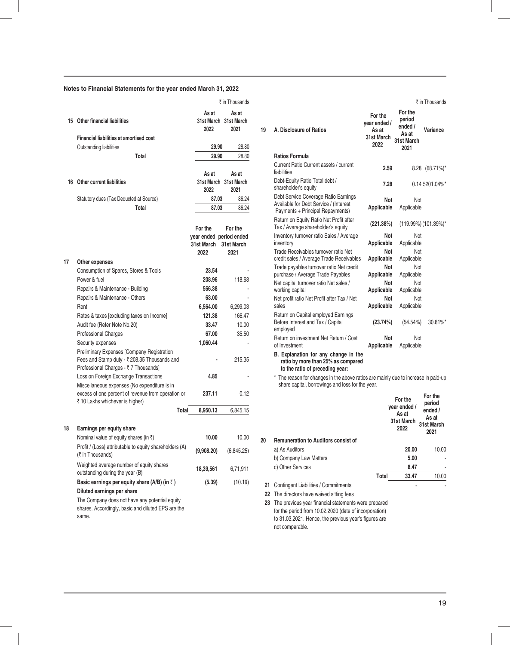|    |                                                                                                    |               | ₹ in Thousands                         |
|----|----------------------------------------------------------------------------------------------------|---------------|----------------------------------------|
|    | 15 Other financial liabilities                                                                     | As at<br>2022 | As at<br>31st March 31st March<br>2021 |
|    | <b>Financial liabilities at amortised cost</b>                                                     |               |                                        |
|    | Outstanding liabilities                                                                            | 29.90         | 28.80                                  |
|    | Total                                                                                              | 29.90         | 28.80                                  |
|    |                                                                                                    |               |                                        |
|    | 16 Other current liabilities                                                                       | As at         | As at<br>31st March 31st March         |
|    |                                                                                                    | 2022          | 2021                                   |
|    | Statutory dues (Tax Deducted at Source)                                                            | 87.03         | 86.24                                  |
|    | Total                                                                                              | 87.03         | 86.24                                  |
|    |                                                                                                    |               |                                        |
|    |                                                                                                    | For the       | For the                                |
|    |                                                                                                    |               | year ended period ended                |
|    |                                                                                                    | 31st March    | 31st March                             |
|    |                                                                                                    | 2022          | 2021                                   |
| 17 | Other expenses                                                                                     | 23.54         |                                        |
|    | Consumption of Spares, Stores & Tools<br>Power & fuel                                              | 208.96        | 118.68                                 |
|    |                                                                                                    | 566.38        |                                        |
|    | Repairs & Maintenance - Building<br>Repairs & Maintenance - Others                                 | 63.00         |                                        |
|    | Rent                                                                                               | 6,564.00      | 6,299.03                               |
|    | Rates & taxes [excluding taxes on Income]                                                          | 121.38        | 166.47                                 |
|    | Audit fee (Refer Note No.20)                                                                       | 33.47         | 10.00                                  |
|    | <b>Professional Charges</b>                                                                        | 67.00         | 35.50                                  |
|    | Security expenses                                                                                  | 1,060.44      |                                        |
|    | <b>Preliminary Expenses [Company Registration</b>                                                  |               |                                        |
|    | Fees and Stamp duty - ₹ 208.35 Thousands and                                                       |               | 215.35                                 |
|    | Professional Charges - ₹7 Thousands]                                                               |               |                                        |
|    | Loss on Foreign Exchange Transactions                                                              | 4.85          |                                        |
|    | Miscellaneous expenses (No expenditure is in<br>excess of one percent of revenue from operation or | 237.11        | 0.12                                   |
|    | ₹ 10 Lakhs whichever is higher)                                                                    |               |                                        |
|    | Total                                                                                              | 8,950.13      | 6,845.15                               |
|    |                                                                                                    |               |                                        |
| 18 | Earnings per equity share                                                                          |               |                                        |
|    | Nominal value of equity shares (in $\bar{z}$ )                                                     | 10.00         | 10.00                                  |
|    | Profit / (Loss) attributable to equity shareholders (A)<br>(₹ in Thousands)                        | (9,908.20)    | (6,845.25)                             |
|    | Weighted average number of equity shares                                                           |               |                                        |
|    | outstanding during the year (B)                                                                    | 18,39,561     | 6,71,911                               |
|    | Basic earnings per equity share (A/B) (in $\bar{z}$ )                                              | (5.39)        | (10.19)                                |
|    | Diluted earnings per share                                                                         |               |                                        |
|    | The Company does not have any potential equity                                                     |               |                                        |

shares. Accordingly, basic and diluted EPS are the same.

|          | ₹ in Thousands                         |    |                                                                                                                    |                                                        |                                                             | ₹ in Thousands       |
|----------|----------------------------------------|----|--------------------------------------------------------------------------------------------------------------------|--------------------------------------------------------|-------------------------------------------------------------|----------------------|
| Ю        | As at<br>1 31st March<br>2021<br>28.80 | 19 | A. Disclosure of Ratios                                                                                            | For the<br>year ended /<br>As at<br>31st March<br>2022 | For the<br>period<br>ended /<br>As at<br>31st March<br>2021 | Variance             |
| O        | 28.80                                  |    | <b>Ratios Formula</b>                                                                                              |                                                        |                                                             |                      |
|          | As at                                  |    | Current Ratio Current assets / current<br>liabilities                                                              | 2.59                                                   |                                                             | 8.28 (68.71%)*       |
|          | 1 31st March<br>2021                   |    | Debt-Equity Ratio Total debt /<br>shareholder's equity                                                             | 7.28                                                   |                                                             | 0.14 5201.04%*       |
| 13<br>13 | 86.24<br>86.24                         |    | Debt Service Coverage Ratio Earnings<br>Available for Debt Service / (Interest<br>Payments + Principal Repayments) | <b>Not</b><br>Applicable                               | Not<br>Applicable                                           |                      |
|          | For the                                |    | Return on Equity Ratio Net Profit after<br>Tax / Average shareholder's equity                                      | (221.38%)                                              |                                                             | (119.99%) (101.39%)' |
|          | period ended<br>31st March             |    | Inventory turnover ratio Sales / Average<br>inventory                                                              | Not<br>Applicable                                      | Not<br>Applicable                                           |                      |
|          | 2021                                   |    | Trade Receivables turnover ratio Net<br>credit sales / Average Trade Receivables                                   | Not<br>Applicable                                      | Not<br>Applicable                                           |                      |
|          |                                        |    | Trade payables turnover ratio Net credit<br>purchase / Average Trade Payables                                      | Not<br>Applicable                                      | Not<br>Applicable                                           |                      |
|          | 118.68                                 |    | Net capital turnover ratio Net sales /<br>working capital                                                          | Not<br>Applicable                                      | Not<br>Applicable                                           |                      |
|          | 6,299.03                               |    | Net profit ratio Net Profit after Tax / Net<br>sales                                                               | Not<br>Applicable                                      | Not<br>Applicable                                           |                      |
|          | 166.47<br>10.00                        |    | Return on Capital employed Earnings<br>Before Interest and Tax / Capital<br>employed                               | (23.74%)                                               | (54.54%)                                                    | 30.81%*              |
|          | 35.50                                  |    | Return on investment Net Return / Cost<br>of Investment                                                            | <b>Not</b><br>Applicable                               | Not<br>Applicable                                           |                      |
|          | 215.35                                 |    | B. Explanation for any change in the<br>realization in a realization OFO/ a a re-                                  |                                                        |                                                             |                      |

**ratio by more than 25% as compared to the ratio of preceding year:**

\* The reason for changes in the above ratios are mainly due to increase in paid-up share capital, borrowings and loss for the year.

|    |                                            |       | For the<br>year ended /<br>As at<br>31st March<br>2022 | For the<br>period<br>ended /<br>As at<br>31st March<br>2021 |
|----|--------------------------------------------|-------|--------------------------------------------------------|-------------------------------------------------------------|
| 20 | <b>Remuneration to Auditors consist of</b> |       |                                                        |                                                             |
|    | a) As Auditors                             |       | 20.00                                                  | 10.00                                                       |
|    | b) Company Law Matters                     |       | 5.00                                                   | i,                                                          |
|    | c) Other Services                          |       | 8.47                                                   | ٠                                                           |
|    |                                            | Total | 33.47                                                  | 10.00                                                       |
| 21 | Contingent Liabilities / Commitments       |       |                                                        |                                                             |

**22** The directors have waived sitting fees

**23** The previous year financial statements were prepared for the period from 10.02.2020 (date of incorporation) to 31.03.2021. Hence, the previous year's figures are not comparable.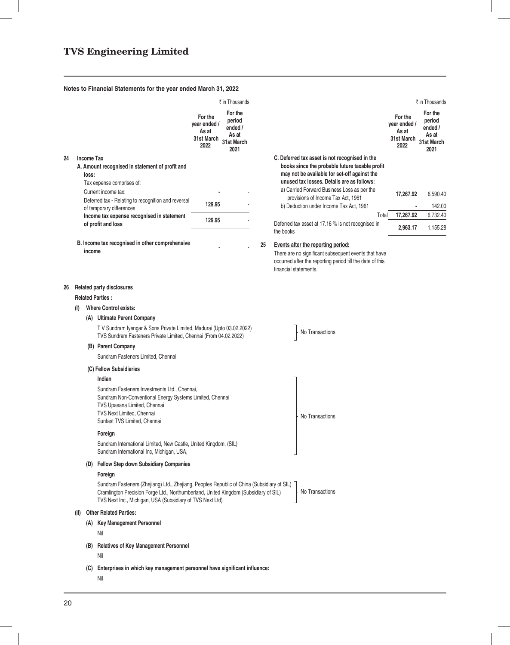|    |      |                            |                                                                                                                                                                                                                                                 |                                                        | ₹ in Thousands                                              |    |                                                                                                                                                                                                                                                                                                                                |       |                                                        | ₹ in Thousands                                              |
|----|------|----------------------------|-------------------------------------------------------------------------------------------------------------------------------------------------------------------------------------------------------------------------------------------------|--------------------------------------------------------|-------------------------------------------------------------|----|--------------------------------------------------------------------------------------------------------------------------------------------------------------------------------------------------------------------------------------------------------------------------------------------------------------------------------|-------|--------------------------------------------------------|-------------------------------------------------------------|
|    |      |                            |                                                                                                                                                                                                                                                 | For the<br>year ended /<br>As at<br>31st March<br>2022 | For the<br>period<br>ended /<br>As at<br>31st March<br>2021 |    |                                                                                                                                                                                                                                                                                                                                |       | For the<br>year ended /<br>As at<br>31st March<br>2022 | For the<br>period<br>ended /<br>As at<br>31st March<br>2021 |
| 24 |      | <b>Income Tax</b><br>loss: | A. Amount recognised in statement of profit and<br>Tax expense comprises of:<br>Current income tax:<br>Deferred tax - Relating to recognition and reversal                                                                                      | 129.95                                                 |                                                             |    | C. Deferred tax asset is not recognised in the<br>books since the probable future taxable profit<br>may not be available for set-off against the<br>unused tax losses. Details are as follows:<br>a) Carried Forward Business Loss as per the<br>provisions of Income Tax Act, 1961<br>b) Deduction under Income Tax Act, 1961 |       | 17,267.92                                              | 6,590.40<br>142.00                                          |
|    |      |                            | of temporary differences<br>Income tax expense recognised in statement                                                                                                                                                                          |                                                        |                                                             |    |                                                                                                                                                                                                                                                                                                                                | Total | 17,267.92                                              | 6,732.40                                                    |
|    |      |                            | of profit and loss                                                                                                                                                                                                                              | 129.95                                                 |                                                             |    | Deferred tax asset at 17.16 % is not recognised in<br>the books                                                                                                                                                                                                                                                                |       | 2,963.17                                               | 1,155.28                                                    |
|    |      | income                     | B. Income tax recognised in other comprehensive                                                                                                                                                                                                 |                                                        |                                                             | 25 | Events after the reporting period:<br>There are no significant subsequent events that have<br>occurred after the reporting period till the date of this<br>financial statements.                                                                                                                                               |       |                                                        |                                                             |
| 26 |      |                            | <b>Related party disclosures</b><br><b>Related Parties:</b>                                                                                                                                                                                     |                                                        |                                                             |    |                                                                                                                                                                                                                                                                                                                                |       |                                                        |                                                             |
|    | (1)  |                            | <b>Where Control exists:</b>                                                                                                                                                                                                                    |                                                        |                                                             |    |                                                                                                                                                                                                                                                                                                                                |       |                                                        |                                                             |
|    |      |                            | (A) Ultimate Parent Company                                                                                                                                                                                                                     |                                                        |                                                             |    |                                                                                                                                                                                                                                                                                                                                |       |                                                        |                                                             |
|    |      |                            | T V Sundram Iyengar & Sons Private Limited, Madurai (Upto 03.02.2022)<br>TVS Sundram Fasteners Private Limited, Chennai (From 04.02.2022)                                                                                                       |                                                        |                                                             |    | No Transactions                                                                                                                                                                                                                                                                                                                |       |                                                        |                                                             |
|    |      |                            | (B) Parent Company<br>Sundram Fasteners Limited, Chennai                                                                                                                                                                                        |                                                        |                                                             |    |                                                                                                                                                                                                                                                                                                                                |       |                                                        |                                                             |
|    |      |                            | (C) Fellow Subsidiaries                                                                                                                                                                                                                         |                                                        |                                                             |    |                                                                                                                                                                                                                                                                                                                                |       |                                                        |                                                             |
|    |      |                            | Indian                                                                                                                                                                                                                                          |                                                        |                                                             |    |                                                                                                                                                                                                                                                                                                                                |       |                                                        |                                                             |
|    |      |                            | Sundram Fasteners Investments Ltd., Chennai,<br>Sundram Non-Conventional Energy Systems Limited, Chennai<br>TVS Upasana Limited, Chennai<br>TVS Next Limited, Chennai<br>Sunfast TVS Limited, Chennai                                           |                                                        |                                                             |    | No Transactions                                                                                                                                                                                                                                                                                                                |       |                                                        |                                                             |
|    |      |                            | Foreign                                                                                                                                                                                                                                         |                                                        |                                                             |    |                                                                                                                                                                                                                                                                                                                                |       |                                                        |                                                             |
|    |      |                            | Sundram International Limited, New Castle, United Kingdom, (SIL)<br>Sundram International Inc, Michigan, USA,                                                                                                                                   |                                                        |                                                             |    |                                                                                                                                                                                                                                                                                                                                |       |                                                        |                                                             |
|    |      |                            | (D) Fellow Step down Subsidiary Companies                                                                                                                                                                                                       |                                                        |                                                             |    |                                                                                                                                                                                                                                                                                                                                |       |                                                        |                                                             |
|    |      |                            | Foreign                                                                                                                                                                                                                                         |                                                        |                                                             |    |                                                                                                                                                                                                                                                                                                                                |       |                                                        |                                                             |
|    |      |                            | Sundram Fasteners (Zhejiang) Ltd., Zhejiang, Peoples Republic of China (Subsidiary of SIL)<br>Cramlington Precision Forge Ltd., Northumberland, United Kingdom (Subsidiary of SIL)<br>TVS Next Inc., Michigan, USA (Subsidiary of TVS Next Ltd) |                                                        |                                                             |    | No Transactions                                                                                                                                                                                                                                                                                                                |       |                                                        |                                                             |
|    | (II) |                            | <b>Other Related Parties:</b>                                                                                                                                                                                                                   |                                                        |                                                             |    |                                                                                                                                                                                                                                                                                                                                |       |                                                        |                                                             |
|    |      |                            | (A) Key Management Personnel                                                                                                                                                                                                                    |                                                        |                                                             |    |                                                                                                                                                                                                                                                                                                                                |       |                                                        |                                                             |
|    |      |                            | Nil                                                                                                                                                                                                                                             |                                                        |                                                             |    |                                                                                                                                                                                                                                                                                                                                |       |                                                        |                                                             |
|    |      | (B)                        | <b>Relatives of Key Management Personnel</b><br>Nil                                                                                                                                                                                             |                                                        |                                                             |    |                                                                                                                                                                                                                                                                                                                                |       |                                                        |                                                             |
|    |      | (C)                        | Enterprises in which key management personnel have significant influence:<br>Nil                                                                                                                                                                |                                                        |                                                             |    |                                                                                                                                                                                                                                                                                                                                |       |                                                        |                                                             |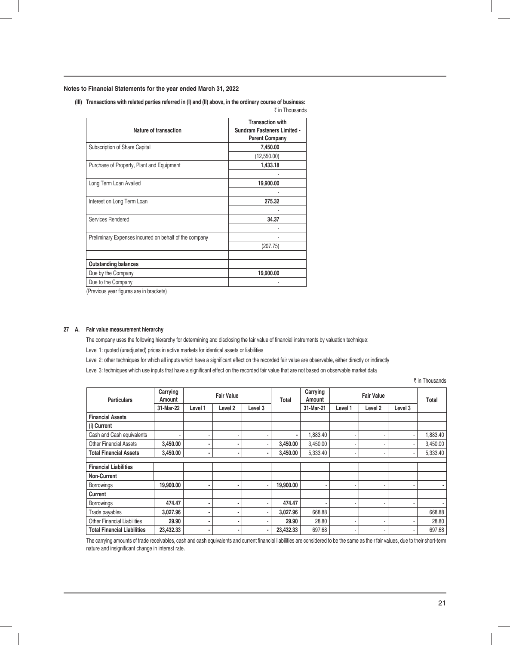**(III) Transactions with related parties referred in (I) and (II) above, in the ordinary course of business:** 

|                                                        | ₹ in Thousands                                                                         |
|--------------------------------------------------------|----------------------------------------------------------------------------------------|
| Nature of transaction                                  | <b>Transaction with</b><br><b>Sundram Fasteners Limited -</b><br><b>Parent Company</b> |
| Subscription of Share Capital                          | 7,450.00                                                                               |
|                                                        | (12,550.00)                                                                            |
| Purchase of Property, Plant and Equipment              | 1,433.18                                                                               |
|                                                        |                                                                                        |
| Long Term Loan Availed                                 | 19,900.00                                                                              |
|                                                        |                                                                                        |
| Interest on Long Term Loan                             | 275.32                                                                                 |
|                                                        |                                                                                        |
| Services Rendered                                      | 34.37                                                                                  |
|                                                        |                                                                                        |
| Preliminary Expenses incurred on behalf of the company |                                                                                        |
|                                                        | (207.75)                                                                               |
|                                                        |                                                                                        |
| <b>Outstanding balances</b>                            |                                                                                        |
| Due by the Company                                     | 19,900.00                                                                              |
| Due to the Company                                     |                                                                                        |

(Previous year figures are in brackets)

## **27 A. Fair value measurement hierarchy**

The company uses the following hierarchy for determining and disclosing the fair value of financial instruments by valuation technique: Level 1: quoted (unadjusted) prices in active markets for identical assets or liabilities

Level 2: other techniques for which all inputs which have a significant effect on the recorded fair value are observable, either directly or indirectly

Level 3: techniques which use inputs that have a significant effect on the recorded fair value that are not based on observable market data

₹ in Thousands

| <b>Particulars</b>                 | Carrying<br>Amount | <b>Fair Value</b> |         |                | Total     | Carrying<br>Amount | <b>Fair Value</b>        |                          |                          | Total    |
|------------------------------------|--------------------|-------------------|---------|----------------|-----------|--------------------|--------------------------|--------------------------|--------------------------|----------|
|                                    | 31-Mar-22          | Level 1           | Level 2 | Level 3        |           | 31-Mar-21          | Level 1                  | Level 2                  | Level 3                  |          |
| <b>Financial Assets</b>            |                    |                   |         |                |           |                    |                          |                          |                          |          |
| (i) Current                        |                    |                   |         |                |           |                    |                          |                          |                          |          |
| Cash and Cash equivalents          |                    | ۰                 |         | ۰              | ۰         | 1,883.40           |                          |                          |                          | 1,883.40 |
| <b>Other Financial Assets</b>      | 3,450.00           | ۰                 | ٠       | ٠              | 3,450.00  | 3,450.00           | $\overline{\phantom{a}}$ |                          |                          | 3,450.00 |
| <b>Total Financial Assets</b>      | 3,450.00           | ٠                 |         | ٠              | 3,450.00  | 5,333.40           | ٠                        | $\overline{\phantom{a}}$ | $\overline{\phantom{a}}$ | 5,333.40 |
|                                    |                    |                   |         |                |           |                    |                          |                          |                          |          |
| <b>Financial Liabilities</b>       |                    |                   |         |                |           |                    |                          |                          |                          |          |
| Non-Current                        |                    |                   |         |                |           |                    |                          |                          |                          |          |
| <b>Borrowings</b>                  | 19,900.00          | ٠                 |         | $\blacksquare$ | 19,900.00 | ۰                  | $\blacksquare$           | $\blacksquare$           |                          |          |
| Current                            |                    |                   |         |                |           |                    |                          |                          |                          |          |
| <b>Borrowings</b>                  | 474.47             | ۰                 |         | ٠              | 474.47    | ٠                  |                          |                          |                          |          |
| Trade payables                     | 3,027.96           | ۰                 |         | ٠              | 3,027.96  | 668.88             |                          |                          |                          | 668.88   |
| <b>Other Financial Liabilities</b> | 29.90              | ۰                 | ۰       | ۰              | 29.90     | 28.80              | $\blacksquare$           | $\overline{\phantom{a}}$ |                          | 28.80    |
| <b>Total Financial Liabilities</b> | 23,432.33          | ٠                 |         | ٠              | 23,432.33 | 697.68             | ٠                        |                          |                          | 697.68   |

The carrying amounts of trade receivables, cash and cash equivalents and current financial liabilities are considered to be the same as their fair values, due to their short-term nature and insignificant change in interest rate.